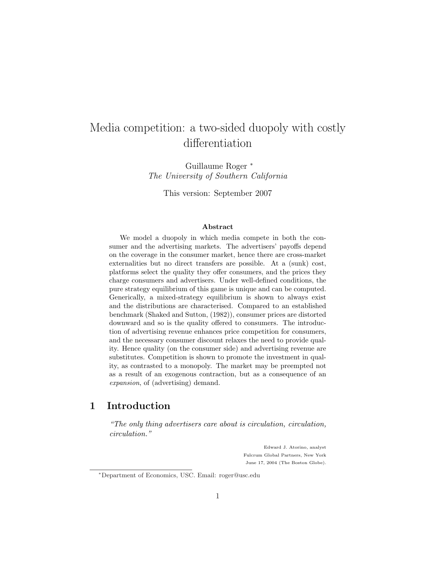# Media competition: a two-sided duopoly with costly differentiation

Guillaume Roger <sup>∗</sup> The University of Southern California

This version: September 2007

#### Abstract

We model a duopoly in which media compete in both the consumer and the advertising markets. The advertisers' payoffs depend on the coverage in the consumer market, hence there are cross-market externalities but no direct transfers are possible. At a (sunk) cost, platforms select the quality they offer consumers, and the prices they charge consumers and advertisers. Under well-defined conditions, the pure strategy equilibrium of this game is unique and can be computed. Generically, a mixed-strategy equilibrium is shown to always exist and the distributions are characterised. Compared to an established benchmark (Shaked and Sutton, (1982)), consumer prices are distorted downward and so is the quality offered to consumers. The introduction of advertising revenue enhances price competition for consumers, and the necessary consumer discount relaxes the need to provide quality. Hence quality (on the consumer side) and advertising revenue are substitutes. Competition is shown to promote the investment in quality, as contrasted to a monopoly. The market may be preempted not as a result of an exogenous contraction, but as a consequence of an expansion, of (advertising) demand.

# 1 Introduction

"The only thing advertisers care about is circulation, circulation, circulation."

> Edward J. Atorino, analyst Fulcrum Global Partners, New York June 17, 2004 (The Boston Globe).

<sup>∗</sup>Department of Economics, USC. Email: roger@usc.edu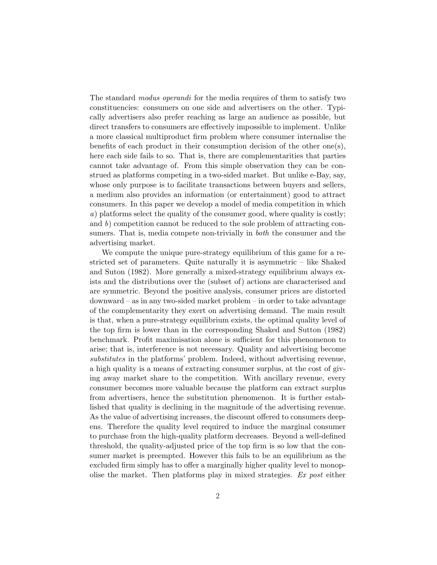The standard *modus operandi* for the media requires of them to satisfy two constituencies: consumers on one side and advertisers on the other. Typically advertisers also prefer reaching as large an audience as possible, but direct transfers to consumers are effectively impossible to implement. Unlike a more classical multiproduct firm problem where consumer internalise the benefits of each product in their consumption decision of the other one(s), here each side fails to so. That is, there are complementarities that parties cannot take advantage of. From this simple observation they can be construed as platforms competing in a two-sided market. But unlike e-Bay, say, whose only purpose is to facilitate transactions between buyers and sellers, a medium also provides an information (or entertainment) good to attract consumers. In this paper we develop a model of media competition in which a) platforms select the quality of the consumer good, where quality is costly; and  $b$ ) competition cannot be reduced to the sole problem of attracting consumers. That is, media compete non-trivially in both the consumer and the advertising market.

We compute the unique pure-strategy equilibrium of this game for a restricted set of parameters. Quite naturally it is asymmetric – like Shaked and Suton (1982). More generally a mixed-strategy equilibrium always exists and the distributions over the (subset of) actions are characterised and are symmetric. Beyond the positive analysis, consumer prices are distorted downward – as in any two-sided market problem – in order to take advantage of the complementarity they exert on advertising demand. The main result is that, when a pure-strategy equilibrium exists, the optimal quality level of the top firm is lower than in the corresponding Shaked and Sutton (1982) benchmark. Profit maximisation alone is sufficient for this phenomenon to arise; that is, interference is not necessary. Quality and advertising become substitutes in the platforms' problem. Indeed, without advertising revenue, a high quality is a means of extracting consumer surplus, at the cost of giving away market share to the competition. With ancillary revenue, every consumer becomes more valuable because the platform can extract surplus from advertisers, hence the substitution phenomenon. It is further established that quality is declining in the magnitude of the advertising revenue. As the value of advertising increases, the discount offered to consumers deepens. Therefore the quality level required to induce the marginal consumer to purchase from the high-quality platform decreases. Beyond a well-defined threshold, the quality-adjusted price of the top firm is so low that the consumer market is preempted. However this fails to be an equilibrium as the excluded firm simply has to offer a marginally higher quality level to monopolise the market. Then platforms play in mixed strategies. Ex post either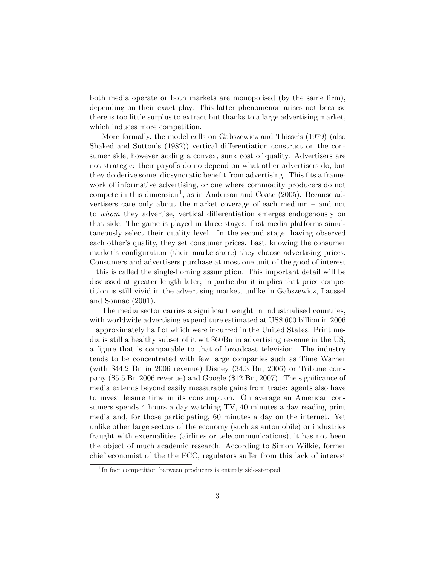both media operate or both markets are monopolised (by the same firm), depending on their exact play. This latter phenomenon arises not because there is too little surplus to extract but thanks to a large advertising market, which induces more competition.

More formally, the model calls on Gabszewicz and Thisse's (1979) (also Shaked and Sutton's (1982)) vertical differentiation construct on the consumer side, however adding a convex, sunk cost of quality. Advertisers are not strategic: their payoffs do no depend on what other advertisers do, but they do derive some idiosyncratic benefit from advertising. This fits a framework of informative advertising, or one where commodity producers do not compete in this dimension<sup>1</sup>, as in Anderson and Coate (2005). Because advertisers care only about the market coverage of each medium – and not to whom they advertise, vertical differentiation emerges endogenously on that side. The game is played in three stages: first media platforms simultaneously select their quality level. In the second stage, having observed each other's quality, they set consumer prices. Last, knowing the consumer market's configuration (their marketshare) they choose advertising prices. Consumers and advertisers purchase at most one unit of the good of interest – this is called the single-homing assumption. This important detail will be discussed at greater length later; in particular it implies that price competition is still vivid in the advertising market, unlike in Gabszewicz, Laussel and Sonnac (2001).

The media sector carries a significant weight in industrialised countries, with worldwide advertising expenditure estimated at US\$ 600 billion in 2006 – approximately half of which were incurred in the United States. Print media is still a healthy subset of it wit \$60Bn in advertising revenue in the US, a figure that is comparable to that of broadcast television. The industry tends to be concentrated with few large companies such as Time Warner (with \$44.2 Bn in 2006 revenue) Disney (34.3 Bn, 2006) or Tribune company (\$5.5 Bn 2006 revenue) and Google (\$12 Bn, 2007). The significance of media extends beyond easily measurable gains from trade: agents also have to invest leisure time in its consumption. On average an American consumers spends 4 hours a day watching TV, 40 minutes a day reading print media and, for those participating, 60 minutes a day on the internet. Yet unlike other large sectors of the economy (such as automobile) or industries fraught with externalities (airlines or telecommunications), it has not been the object of much academic research. According to Simon Wilkie, former chief economist of the the FCC, regulators suffer from this lack of interest

<sup>&</sup>lt;sup>1</sup>In fact competition between producers is entirely side-stepped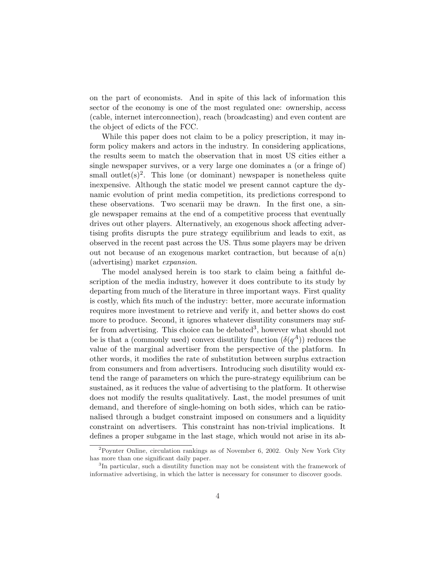on the part of economists. And in spite of this lack of information this sector of the economy is one of the most regulated one: ownership, access (cable, internet interconnection), reach (broadcasting) and even content are the object of edicts of the FCC.

While this paper does not claim to be a policy prescription, it may inform policy makers and actors in the industry. In considering applications, the results seem to match the observation that in most US cities either a single newspaper survives, or a very large one dominates a (or a fringe of) small outlet $(s)^2$ . This lone (or dominant) newspaper is nonetheless quite inexpensive. Although the static model we present cannot capture the dynamic evolution of print media competition, its predictions correspond to these observations. Two scenarii may be drawn. In the first one, a single newspaper remains at the end of a competitive process that eventually drives out other players. Alternatively, an exogenous shock affecting advertising profits disrupts the pure strategy equilibrium and leads to exit, as observed in the recent past across the US. Thus some players may be driven out not because of an exogenous market contraction, but because of  $a(n)$ (advertising) market expansion.

The model analysed herein is too stark to claim being a faithful description of the media industry, however it does contribute to its study by departing from much of the literature in three important ways. First quality is costly, which fits much of the industry: better, more accurate information requires more investment to retrieve and verify it, and better shows do cost more to produce. Second, it ignores whatever disutility consumers may suffer from advertising. This choice can be debated<sup>3</sup>, however what should not be is that a (commonly used) convex disutility function  $(\delta(q^A))$  reduces the value of the marginal advertiser from the perspective of the platform. In other words, it modifies the rate of substitution between surplus extraction from consumers and from advertisers. Introducing such disutility would extend the range of parameters on which the pure-strategy equilibrium can be sustained, as it reduces the value of advertising to the platform. It otherwise does not modify the results qualitatively. Last, the model presumes of unit demand, and therefore of single-homing on both sides, which can be rationalised through a budget constraint imposed on consumers and a liquidity constraint on advertisers. This constraint has non-trivial implications. It defines a proper subgame in the last stage, which would not arise in its ab-

<sup>&</sup>lt;sup>2</sup>Poynter Online, circulation rankings as of November 6, 2002. Only New York City has more than one significant daily paper.

<sup>&</sup>lt;sup>3</sup>In particular, such a disutility function may not be consistent with the framework of informative advertising, in which the latter is necessary for consumer to discover goods.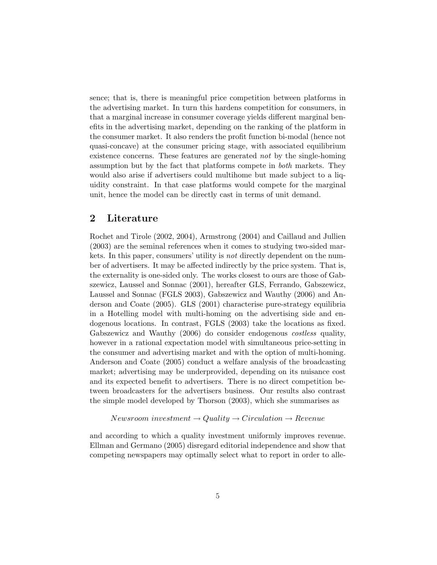sence; that is, there is meaningful price competition between platforms in the advertising market. In turn this hardens competition for consumers, in that a marginal increase in consumer coverage yields different marginal benefits in the advertising market, depending on the ranking of the platform in the consumer market. It also renders the profit function bi-modal (hence not quasi-concave) at the consumer pricing stage, with associated equilibrium existence concerns. These features are generated not by the single-homing assumption but by the fact that platforms compete in both markets. They would also arise if advertisers could multihome but made subject to a liquidity constraint. In that case platforms would compete for the marginal unit, hence the model can be directly cast in terms of unit demand.

# 2 Literature

Rochet and Tirole (2002, 2004), Armstrong (2004) and Caillaud and Jullien (2003) are the seminal references when it comes to studying two-sided markets. In this paper, consumers' utility is not directly dependent on the number of advertisers. It may be affected indirectly by the price system. That is, the externality is one-sided only. The works closest to ours are those of Gabszewicz, Laussel and Sonnac (2001), hereafter GLS, Ferrando, Gabszewicz, Laussel and Sonnac (FGLS 2003), Gabszewicz and Wauthy (2006) and Anderson and Coate (2005). GLS (2001) characterise pure-strategy equilibria in a Hotelling model with multi-homing on the advertising side and endogenous locations. In contrast, FGLS (2003) take the locations as fixed. Gabszewicz and Wauthy (2006) do consider endogenous *costless* quality, however in a rational expectation model with simultaneous price-setting in the consumer and advertising market and with the option of multi-homing. Anderson and Coate (2005) conduct a welfare analysis of the broadcasting market; advertising may be underprovided, depending on its nuisance cost and its expected benefit to advertisers. There is no direct competition between broadcasters for the advertisers business. Our results also contrast the simple model developed by Thorson (2003), which she summarises as

 $Newton$  investment  $\rightarrow$  Quality  $\rightarrow$  Circulation  $\rightarrow$  Revenue

and according to which a quality investment uniformly improves revenue. Ellman and Germano (2005) disregard editorial independence and show that competing newspapers may optimally select what to report in order to alle-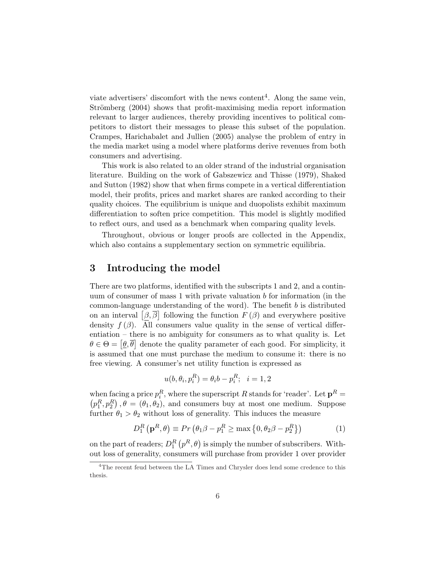viate advertisers' discomfort with the news content<sup>4</sup>. Along the same vein, Strömberg (2004) shows that profit-maximising media report information relevant to larger audiences, thereby providing incentives to political competitors to distort their messages to please this subset of the population. Crampes, Harichabalet and Jullien (2005) analyse the problem of entry in the media market using a model where platforms derive revenues from both consumers and advertising.

This work is also related to an older strand of the industrial organisation literature. Building on the work of Gabszewicz and Thisse (1979), Shaked and Sutton (1982) show that when firms compete in a vertical differentiation model, their profits, prices and market shares are ranked according to their quality choices. The equilibrium is unique and duopolists exhibit maximum differentiation to soften price competition. This model is slightly modified to reflect ours, and used as a benchmark when comparing quality levels.

Throughout, obvious or longer proofs are collected in the Appendix, which also contains a supplementary section on symmetric equilibria.

# 3 Introducing the model

There are two platforms, identified with the subscripts 1 and 2, and a continuum of consumer of mass 1 with private valuation  $b$  for information (in the common-language understanding of the word). The benefit b is distributed common-language understanding of the word). The benefit b is distributed<br>on an interval  $\left[\beta,\overline{\beta}\right]$  following the function  $F(\beta)$  and everywhere positive density  $f(\beta)$ . All consumers value quality in the sense of vertical differentiation – there is no ambiguity for consumers as to what quality is. Let entiation – there is no amoiguity for consumers as to what quality is. Let  $\theta \in \Theta = [\underline{\theta}, \overline{\theta}]$  denote the quality parameter of each good. For simplicity, it is assumed that one must purchase the medium to consume it: there is no free viewing. A consumer's net utility function is expressed as

$$
u(b, \theta_i, p_i^R) = \theta_i b - p_i^R; \quad i = 1, 2
$$

when facing a price  $p_i^R$ , where the superscript R stands for 'reader'. Let  $\mathbf{p}^R =$  $p_1^R, p_2^R$ ,  $\theta = (\theta_1, \theta_2)$ , and consumers buy at most one medium. Suppose further  $\theta_1 > \theta_2$  without loss of generality. This induces the measure

$$
D_1^R(\mathbf{p}^R, \theta) \equiv Pr(\theta_1 \beta - p_1^R \ge \max\left\{0, \theta_2 \beta - p_2^R\right\})
$$
(1)

on the part of readers;  $D_1^R$  $p^R$ ,  $\theta$ ) is simply the number of subscribers. Without loss of generality, consumers will purchase from provider 1 over provider

<sup>&</sup>lt;sup>4</sup>The recent feud between the LA Times and Chrysler does lend some credence to this thesis.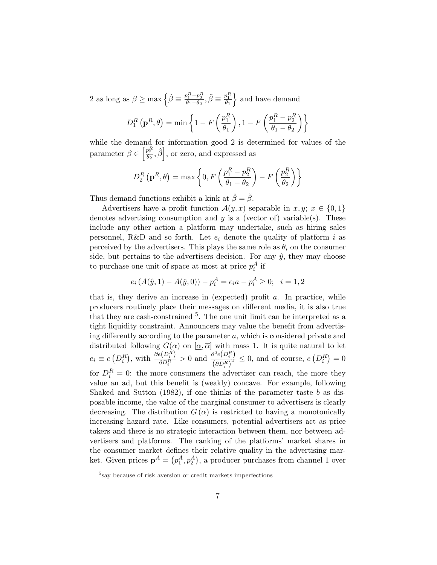2 as long as  $\beta \ge \max \left\{ \hat{\beta} \equiv \frac{p_1^R - p_2^R}{\theta_1 - \theta_2}, \tilde{\beta} \equiv \frac{p_1^R}{\theta_1} \right\}$ o and have demand

$$
D_1^R(\mathbf{p}^R, \theta) = \min \left\{ 1 - F\left(\frac{p_1^R}{\theta_1}\right), 1 - F\left(\frac{p_1^R - p_2^R}{\theta_1 - \theta_2}\right) \right\}
$$

while the demand for information good 2 is determined for values of the parameter  $\beta \in \left[\frac{p_2^R}{\theta_2}, \hat{\beta}\right]$ , or zero, and expressed as

$$
D_2^R(\mathbf{p}^R, \theta) = \max \left\{ 0, F\left(\frac{p_1^R - p_2^R}{\theta_1 - \theta_2}\right) - F\left(\frac{p_2^R}{\theta_2}\right) \right\}
$$

Thus demand functions exhibit a kink at  $\hat{\beta} = \tilde{\beta}$ .

Advertisers have a profit function  $\mathcal{A}(y, x)$  separable in  $x, y; x \in \{0, 1\}$ denotes advertising consumption and  $y$  is a (vector of) variable(s). These include any other action a platform may undertake, such as hiring sales personnel, R&D and so forth. Let  $e_i$  denote the quality of platform i as perceived by the advertisers. This plays the same role as  $\theta_i$  on the consumer side, but pertains to the advertisers decision. For any  $\hat{y}$ , they may choose to purchase one unit of space at most at price  $p_i^A$  if

$$
e_i(A(\hat{y}, 1) - A(\hat{y}, 0)) - p_i^A = e_i a - p_i^A \ge 0; \quad i = 1, 2
$$

that is, they derive an increase in (expected) profit  $a$ . In practice, while producers routinely place their messages on different media, it is also true that they are cash-constrained  $5$ . The one unit limit can be interpreted as a tight liquidity constraint. Announcers may value the benefit from advertising differently according to the parameter  $a$ , which is considered private and distributed following  $G(\alpha)$  on  $[\alpha, \overline{\alpha}]$  with mass 1. It is quite natural to let  $e_i \equiv e$  $(D_i^R)$ ), with  $\frac{\partial e(D_i^R)}{\partial D_R}$  $\frac{e(D_i^R)}{\partial D_i^R} > 0$  and  $\frac{\partial^2 e(D_i^R)}{(\partial D_i^R)^2}$  $\frac{\partial^2 e(D_i)}{(\partial D_i^R)^2} \leq 0$ , and of course, e  $(D_i^R)$ ¢  $= 0$ for  $D_i^R = 0$ : the more consumers the advertiser can reach, the more they value an ad, but this benefit is (weakly) concave. For example, following Shaked and Sutton  $(1982)$ , if one thinks of the parameter taste b as disposable income, the value of the marginal consumer to advertisers is clearly decreasing. The distribution  $G(\alpha)$  is restricted to having a monotonically increasing hazard rate. Like consumers, potential advertisers act as price takers and there is no strategic interaction between them, nor between advertisers and platforms. The ranking of the platforms' market shares in the consumer market defines their relative quality in the advertising market. Given prices  $\mathbf{p}^A = (p_1^A, p_2^A)$ , a producer purchases from channel 1 over

<sup>5</sup> say because of risk aversion or credit markets imperfections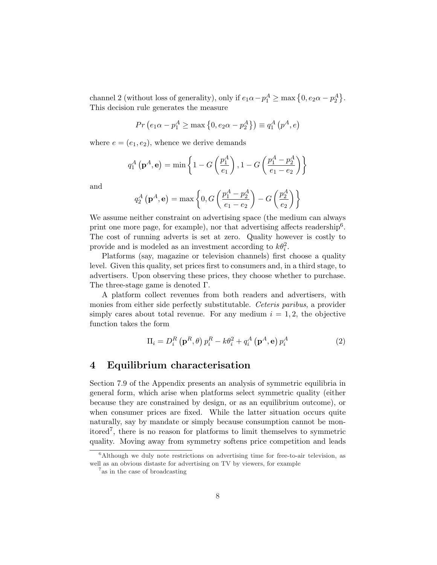channel 2 (without loss of generality), only if  $e_1\alpha - p_1^A \ge \max\left\{0, e_2\alpha - p_2^A\right\}$ ª . This decision rule generates the measure

$$
Pr(e_1 \alpha - p_1^A \ge \max\{0, e_2 \alpha - p_2^A\}) \equiv q_1^A(p^A, e)
$$

where  $e = (e_1, e_2)$ , whence we derive demands

$$
q_1^A(\mathbf{p}^A, \mathbf{e}) = \min \left\{ 1 - G\left(\frac{p_1^A}{e_1}\right), 1 - G\left(\frac{p_1^A - p_2^A}{e_1 - e_2}\right) \right\}
$$

and

$$
q_2^A(\mathbf{p}^A, \mathbf{e}) = \max \left\{ 0, G\left(\frac{p_1^A - p_2^A}{e_1 - e_2}\right) - G\left(\frac{p_2^A}{e_2}\right) \right\}
$$

We assume neither constraint on advertising space (the medium can always print one more page, for example), nor that advertising affects readership<sup>6</sup>. The cost of running adverts is set at zero. Quality however is costly to provide and is modeled as an investment according to  $k\theta_i^2$ .

Platforms (say, magazine or television channels) first choose a quality level. Given this quality, set prices first to consumers and, in a third stage, to advertisers. Upon observing these prices, they choose whether to purchase. The three-stage game is denoted Γ.

A platform collect revenues from both readers and advertisers, with monies from either side perfectly substitutable. Ceteris paribus, a provider simply cares about total revenue. For any medium  $i = 1, 2$ , the objective function takes the form

$$
\Pi_i = D_i^R \left( \mathbf{p}^R, \theta \right) p_i^R - k \theta_i^2 + q_i^A \left( \mathbf{p}^A, \mathbf{e} \right) p_i^A \tag{2}
$$

# 4 Equilibrium characterisation

Section 7.9 of the Appendix presents an analysis of symmetric equilibria in general form, which arise when platforms select symmetric quality (either because they are constrained by design, or as an equilibrium outcome), or when consumer prices are fixed. While the latter situation occurs quite naturally, say by mandate or simply because consumption cannot be monitored<sup>7</sup> , there is no reason for platforms to limit themselves to symmetric quality. Moving away from symmetry softens price competition and leads

 $6$ Although we duly note restrictions on advertising time for free-to-air television, as well as an obvious distaste for advertising on TV by viewers, for example

<sup>7</sup> as in the case of broadcasting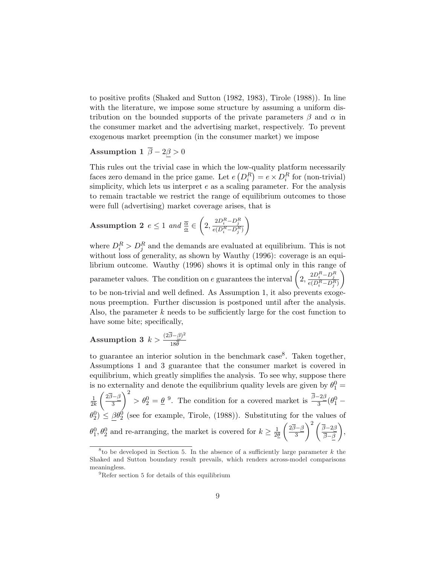to positive profits (Shaked and Sutton (1982, 1983), Tirole (1988)). In line with the literature, we impose some structure by assuming a uniform distribution on the bounded supports of the private parameters  $\beta$  and  $\alpha$  in the consumer market and the advertising market, respectively. To prevent exogenous market preemption (in the consumer market) we impose

# Assumption 1  $\overline{\beta} - 2\underline{\beta} > 0$

This rules out the trivial case in which the low-quality platform necessarily faces zero demand in the price game. Let  $e(D_i^R) = e \times D_i^R$  for (non-trivial) simplicity, which lets us interpret  $e$  as a scaling parameter. For the analysis to remain tractable we restrict the range of equilibrium outcomes to those were full (advertising) market coverage arises, that is

**Assumption 2** 
$$
e \le 1
$$
 and  $\frac{\overline{\alpha}}{\underline{\alpha}} \in \left(2, \frac{2D_i^R - D_j^R}{e(D_i^R - D_j^R)}\right)$ 

where  $D_i^R > D_j^R$  and the demands are evaluated at equilibrium. This is not without loss of generality, as shown by Wauthy (1996): coverage is an equilibrium outcome. Wauthy  $(1996)$  shows it is optimal only in this range of norium outcome. Wauthy (1996) shows it is optimal only in this range<br>parameter values. The condition on e guarantees the interval  $\left(2, \frac{2D_i^R - D_j^R}{e(D_i^R - D_j^R)}\right)$ to be non-trivial and well defined. As Assumption 1, it also prevents exogenous preemption. Further discussion is postponed until after the analysis. Also, the parameter  $k$  needs to be sufficiently large for the cost function to have some bite; specifically,

# Assumption 3  $k > \frac{(2\overline{\beta} - \beta)^2}{10\overline{\beta}}$  $18\theta$

to guarantee an interior solution in the benchmark case<sup>8</sup>. Taken together, Assumptions 1 and 3 guarantee that the consumer market is covered in equilibrium, which greatly simplifies the analysis. To see why, suppose there is no externality and denote the equilibrium quality levels are given by  $\theta_1^0 =$ 1  $\overline{2k}$  $\frac{1}{\sqrt{2}}$  $2\overline{\beta}-\beta$ 3  $\frac{1}{2}$  $> \theta_2^0 = \underline{\theta}^0$ . The condition for a covered market is  $\frac{\overline{\beta} - 2\beta}{3} (\theta_1^0 \theta_2^0$   $\leq \underline{\beta} \theta_2^0$  (see for example, Tirole, (1988)). Substituting for the values of  $\theta_1^0, \theta_2^0$  and re-arranging, the market is covered for  $k \geq \frac{1}{2\ell}$  $\overline{2\theta}$ 2β−β 3  $\int_{0}^{2} \sqrt{\overline{\beta}-2\beta}$  $\frac{\partial^{-2\beta}}{\partial \bar{\beta}}\Big),$ 

<sup>&</sup>lt;sup>8</sup> to be developed in Section 5. In the absence of a sufficiently large parameter  $k$  the Shaked and Sutton boundary result prevails, which renders across-model comparisons meaningless.

<sup>9</sup>Refer section 5 for details of this equilibrium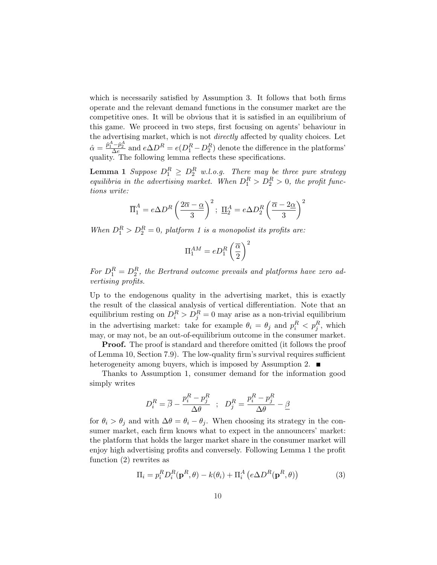which is necessarily satisfied by Assumption 3. It follows that both firms operate and the relevant demand functions in the consumer market are the competitive ones. It will be obvious that it is satisfied in an equilibrium of this game. We proceed in two steps, first focusing on agents' behaviour in the advertising market, which is not *directly* affected by quality choices. Let  $\hat{\alpha} = \frac{\hat{p}_1^A - \hat{p}_2^A}{\Delta e}$  and  $e \Delta D^R = e(D_1^R - D_2^R)$  denote the difference in the platforms' quality. The following lemma reflects these specifications.

**Lemma 1** Suppose  $D_1^R \geq D_2^R$  w.l.o.g. There may be three pure strategy equilibria in the advertising market. When  $D_1^R > D_2^R > 0$ , the profit functions write:

$$
\overline{\Pi}_1^A = e\Delta D^R \left(\frac{2\overline{\alpha} - \underline{\alpha}}{3}\right)^2; \ \underline{\Pi}_2^A = e\Delta D_2^R \left(\frac{\overline{\alpha} - 2\underline{\alpha}}{3}\right)^2
$$

When  $D_1^R > D_2^R = 0$ , platform 1 is a monopolist its profits are:

$$
\Pi^{AM}_1=eD^R_1\left(\frac{\overline{\alpha}}{2}\right)^2
$$

For  $D_1^R = D_2^R$ , the Bertrand outcome prevails and platforms have zero advertising profits.

Up to the endogenous quality in the advertising market, this is exactly the result of the classical analysis of vertical differentiation. Note that an equilibrium resting on  $D_i^R > D_j^R = 0$  may arise as a non-trivial equilibrium in the advertising market: take for example  $\theta_i = \theta_j$  and  $p_i^R < p_j^R$ , which may, or may not, be an out-of-equilibrium outcome in the consumer market.

**Proof.** The proof is standard and therefore omitted (it follows the proof of Lemma 10, Section 7.9). The low-quality firm's survival requires sufficient heterogeneity among buyers, which is imposed by Assumption 2.

Thanks to Assumption 1, consumer demand for the information good simply writes

$$
D_i^R = \overline{\beta} - \frac{p_i^R - p_j^R}{\Delta \theta} \hspace*{0.2cm} ; \hspace*{0.2cm} D_j^R = \frac{p_i^R - p_j^R}{\Delta \theta} - \underline{\beta}
$$

for  $\theta_i > \theta_j$  and with  $\Delta \theta = \theta_i - \theta_j$ . When choosing its strategy in the consumer market, each firm knows what to expect in the announcers' market: the platform that holds the larger market share in the consumer market will enjoy high advertising profits and conversely. Following Lemma 1 the profit function (2) rewrites as

$$
\Pi_i = p_i^R D_i^R (\mathbf{p}^R, \theta) - k(\theta_i) + \Pi_i^A \left( e \Delta D^R (\mathbf{p}^R, \theta) \right)
$$
(3)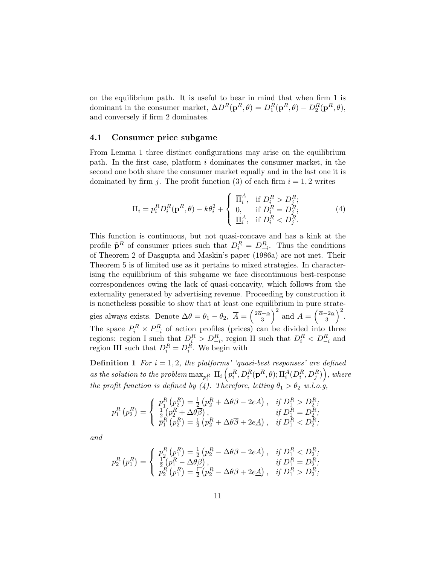on the equilibrium path. It is useful to bear in mind that when firm 1 is dominant in the consumer market,  $\Delta D^{R}(\mathbf{p}^{R}, \theta) = D_{1}^{R}(\mathbf{p}^{R}, \theta) - D_{2}^{R}(\mathbf{p}^{R}, \theta),$ and conversely if firm 2 dominates.

## 4.1 Consumer price subgame

From Lemma 1 three distinct configurations may arise on the equilibrium path. In the first case, platform  $i$  dominates the consumer market, in the second one both share the consumer market equally and in the last one it is dominated by firm j. The profit function (3) of each firm  $i = 1, 2$  writes

$$
\Pi_i = p_i^R D_i^R(\mathbf{p}^R, \theta) - k\theta_i^2 + \begin{cases} \overline{\Pi}_i^A, & \text{if } D_i^R > D_j^R; \\ 0, & \text{if } D_i^R = D_j^R; \\ \underline{\Pi}_i^A, & \text{if } D_i^R < D_j^R. \end{cases}
$$
 (4)

This function is continuous, but not quasi-concave and has a kink at the profile  $\tilde{\mathbf{p}}^R$  of consumer prices such that  $D_i^R = D_{-i}^R$ . Thus the conditions of Theorem 2 of Dasgupta and Maskin's paper (1986a) are not met. Their Theorem 5 is of limited use as it pertains to mixed strategies. In characterising the equilibrium of this subgame we face discontinuous best-response correspondences owing the lack of quasi-concavity, which follows from the externality generated by advertising revenue. Proceeding by construction it is nonetheless possible to show that at least one equilibrium in pure strategies always exists. Denote  $\Delta\theta = \theta_1 - \theta_2$ ,  $\overline{A} =$ e equi<br>*∫* 2<del>α</del>−α 3  $\frac{10}{1}$ and  $\underline{A} =$  $1e$  sua<br> $( \bar{\alpha}$ -2α 3  $\frac{1}{\sqrt{2}}$ . The space  $P_i^R \times P_{-i}^R$  of action profiles (prices) can be divided into three regions: region I such that  $D_i^R > D_{-i}^R$ , region II such that  $D_i^R < D_{-i}^R$  and region III such that  $D_i^R = D_i^R$ . We begin with

**Definition 1** For  $i = 1, 2$ , the platforms' 'quasi-best responses' are defined as the solution to the problem  $\max_{p^R_i}\ \Pi_i\left(p^R_i,D^R_i(\mathbf p^R,\theta);\Pi^A_i(D^R_i,D^R_j)\right)$ , where the profit function is defined by (4). Therefore, letting  $\theta_1 > \theta_2$  w.l.o.g,

$$
p_1^R(p_2^R) = \begin{cases} p_1^R(p_2^R) = \frac{1}{2} (p_2^R + \Delta\theta \overline{\beta} - 2e\overline{A}), & \text{if } D_1^R > D_2^R, \\ \frac{1}{2} (p_2^R + \Delta\theta \overline{\beta}), & \text{if } D_1^R = D_2^R, \\ \overline{p}_1^R(p_2^R) = \frac{1}{2} (p_2^R + \Delta\theta \overline{\beta} + 2e\underline{A}), & \text{if } D_1^R < D_2^R, \end{cases}
$$

and

$$
p_2^R(p_1^R) = \begin{cases} p_2^R(p_1^R) = \frac{1}{2} (p_2^R - \Delta\theta \underline{\beta} - 2e\overline{A}), & \text{if } D_1^R < D_2^R; \\ \frac{1}{2} (p_1^R - \Delta\theta \underline{\beta}), & \text{if } D_1^R = D_2^R; \\ \overline{p_2^R}(p_1^R) = \frac{1}{2} (p_2^R - \Delta\theta \underline{\beta} + 2e\underline{A}), & \text{if } D_1^R > D_2^R; \end{cases}
$$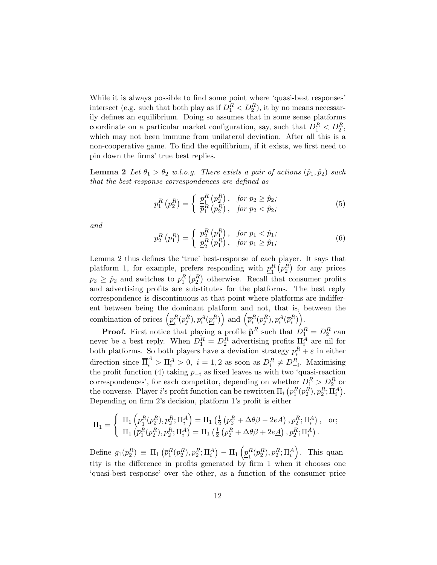While it is always possible to find some point where 'quasi-best responses' intersect (e.g. such that both play as if  $D_1^R < D_2^R$ ), it by no means necessarily defines an equilibrium. Doing so assumes that in some sense platforms coordinate on a particular market configuration, say, such that  $D_1^R < D_2^R$ , which may not been immune from unilateral deviation. After all this is a non-cooperative game. To find the equilibrium, if it exists, we first need to pin down the firms' true best replies.

**Lemma 2** Let  $\theta_1 > \theta_2$  w.l.o.g. There exists a pair of actions  $(\hat{p}_1, \hat{p}_2)$  such that the best response correspondences are defined as

$$
p_1^R(p_2^R) = \begin{cases} \frac{p_1^R(p_2^R)}{\bar{p}_1^R(p_2^R)}, & \text{for } p_2 \ge \hat{p}_2; \\ \bar{p}_1^R(p_2^R), & \text{for } p_2 < \hat{p}_2; \end{cases} \tag{5}
$$

and

$$
p_2^R(p_1^R) = \begin{cases} \bar{p}_2^R(p_1^R), & \text{for } p_1 < \hat{p}_1; \\ \underline{p}_2^R(p_1^R), & \text{for } p_1 \ge \hat{p}_1; \end{cases} \tag{6}
$$

Lemma 2 thus defines the 'true' best-response of each player. It says that platform 1, for example, prefers responding with  $p_1^R$ efers responding with  $p_1^R(p_2^R)$  for any prices  $p_2 \geq \hat{p}_2$  and switches to  $\bar{p}_1^R(p_2^R)$  otherwise. Recall that consumer profits and advertising profits are substitutes for the platforms. The best reply correspondence is discontinuous at that point where platforms are indifferent between being the dominant platform and not, that is, between the ent between being the de-<br>combination of prices  $\left( p_i^R \right)$  $_{i}^{R}(p_{j}^{R}),p_{i}^{A}(\underline{p}_{i}^{R}% ,\overline{p}_{i}^{A})\in\mathcal{V}_{i}^{A}$  $_i^R)$ form and not, that is,<br>  $\bigg)$  and  $\left(\overline{p}_i^R(p_j^R), p_i^A(\overline{p}_i^R)\right)$  $\mathbf{C}$ .

**Proof.** First notice that playing a profile  $\tilde{\mathbf{p}}^R$  such that  $D_1^R = D_2^R$  can never be a best reply. When  $D_1^R = D_2^R$  advertising profits  $\Pi_i^A$  are nil for both platforms. So both players have a deviation strategy  $p_i^R + \varepsilon$  in either direction since  $\overline{\Pi}_i^A > \underline{\Pi}_i^A > 0$ ,  $i = 1, 2$  as soon as  $D_i^R \neq D_{-i}^R$ . Maximising the profit function (4) taking  $p_{-i}$  as fixed leaves us with two 'quasi-reaction correspondences', for each competitor, depending on whether  $D_1^R > D_2^R$  or the converse. Player *i*'s profit function can be rewritten  $\Pi_i (p_1^R(p_2^R), p_2^R; \Pi_i^A)$ . Depending on firm 2's decision, platform 1's profit is either

$$
\Pi_1 = \begin{cases} \n\Pi_1 \left( \underline{p}_1^R(p_2^R), p_2^R; \Pi_i^A \right) = \Pi_1 \left( \frac{1}{2} \left( p_2^R + \Delta \theta \overline{\beta} - 2e \overline{A} \right), p_2^R; \Pi_i^A \right), & \text{or}; \\ \n\Pi_1 \left( \overline{p}_1^R(p_2^R), p_2^R; \Pi_i^A \right) = \Pi_1 \left( \frac{1}{2} \left( p_2^R + \Delta \theta \overline{\beta} + 2e \underline{A} \right), p_2^R; \Pi_i^A \right). \n\end{cases}
$$

Define  $g_1(p_2^R) \equiv \Pi_1$ ¡  $\overline{p}_1^R(p_2^R), p_2^R; \Pi_i^A$ ¢  $\Pi_1$  $\overline{a}$  $p_1^R$  $_{1}^{R}(p_{2}^{R}),p_{2}^{R};\Pi_{i}^{A}% ,\Pi_{j}^{A}=\pi^{A}(\Pi_{i}^{A},\Pi_{j}^{A},\Pi_{j}^{A})$ ´ . This quantity is the difference in profits generated by firm 1 when it chooses one 'quasi-best response' over the other, as a function of the consumer price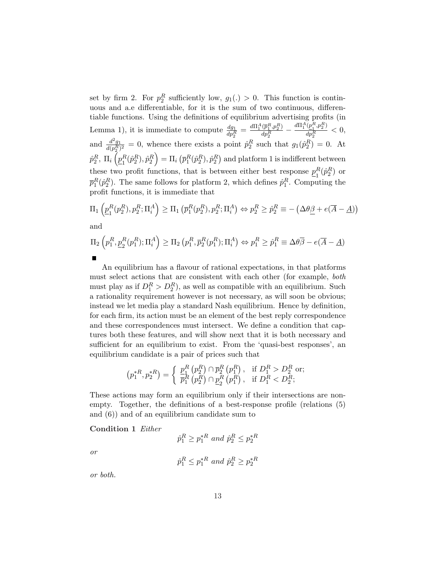set by firm 2. For  $p_2^R$  sufficiently low,  $g_1(.) > 0$ . This function is continuous and a.e differentiable, for it is the sum of two continuous, differentiable functions. Using the definitions of equilibrium advertising profits (in Lemma 1), it is immediate to compute  $\frac{dg_1}{dp_2^R} = \frac{d\Pi_1^A(\bar{p}_1^R, p_2^R)}{dp_2^R}$  $\frac{(\overline{p}_1^R, p_2^R)}{dp_2^R} - \frac{d\Pi_1^A(\underline{p}_1^R, p_2^R)}{dp_2^R}$  $\frac{\left(\frac{p_1}{q_1}, p_2\right)}{dp_2^R} < 0,$ and  $\frac{d^2g_1}{d(xR)}$  $\frac{d^2g_1}{d(p_2^R)^2} = 0$ , whence there exists a point  $\hat{p}_2^R$  such that  $g_1(\hat{p}_2^R) = 0$ . At  $\hat{p}^{R}_2,~\Pi_i\left(\underline{p}^{R}_1\right)$  $\frac{\partial p_1^R}{\partial \gamma}$   $\rightarrow$  $\frac{R(\hat{p}^{R}_2),\hat{p}^{R}_2}\Big) = \Pi_i$ ¡  $\bar p^R_1(\hat p^R_2), \hat p^R_2$ ¢ and platform 1 is indifferent between these two profit functions, that is between either best response  $p_1^R$  ${}_{1}^{R}(\hat{p}_{2}^{R})$  or  $\bar{p}_1^R(\hat{p}_2^R)$ . The same follows for platform 2, which defines  $\hat{p}_1^R$ . Computing the profit functions, it is immediate that

$$
\Pi_1\left(\underline{p}_1^R(p_2^R), p_2^R; \Pi_i^A\right) \ge \Pi_1\left(\overline{p}_1^R(p_2^R), p_2^R; \Pi_i^A\right) \Leftrightarrow p_2^R \ge \hat{p}_2^R \equiv -\left(\Delta\theta\underline{\beta} + e(\overline{A} - \underline{A})\right)
$$
 and

$$
\Pi_2\left(p_1^R, \underline{p}_2^R(p_1^R); \Pi_i^A\right) \ge \Pi_2\left(p_1^R, \overline{p}_2^R(p_1^R); \Pi_i^A\right) \Leftrightarrow p_1^R \ge \hat{p}_1^R \equiv \Delta\theta\overline{\beta} - e(\overline{A} - \underline{A})
$$

An equilibrium has a flavour of rational expectations, in that platforms must select actions that are consistent with each other (for example, both must play as if  $D_1^R > D_2^R$ , as well as compatible with an equilibrium. Such a rationality requirement however is not necessary, as will soon be obvious; instead we let media play a standard Nash equilibrium. Hence by definition, for each firm, its action must be an element of the best reply correspondence and these correspondences must intersect. We define a condition that captures both these features, and will show next that it is both necessary and sufficient for an equilibrium to exist. From the 'quasi-best responses', an equilibrium candidate is a pair of prices such that

$$
\left(p_{1}^{*R}, p_{2}^{*R}\right) = \begin{cases} \frac{p_{1}^{R}}{p_{1}^{R}}\left(p_{2}^{R}\right) \cap \overline{p}_{2}^{R}\left(p_{1}^{R}\right), & \text{if } D_{1}^{R} > D_{2}^{R} \text{ or;} \\ \overline{p}_{1}^{R}\left(p_{2}^{R}\right) \cap \underline{p}_{2}^{R}\left(p_{1}^{R}\right), & \text{if } D_{1}^{R} < D_{2}^{R}; \end{cases}
$$

These actions may form an equilibrium only if their intersections are nonempty. Together, the definitions of a best-response profile (relations (5) and (6)) and of an equilibrium candidate sum to

Condition 1 Either

$$
\hat{p}_1^R \ge p_1^{*R} \text{ and } \hat{p}_2^R \le p_2^{*R}
$$

or

$$
\hat{p}_1^R \le p_1^{*R} \text{ and } \hat{p}_2^R \ge p_2^{*R}
$$

or both.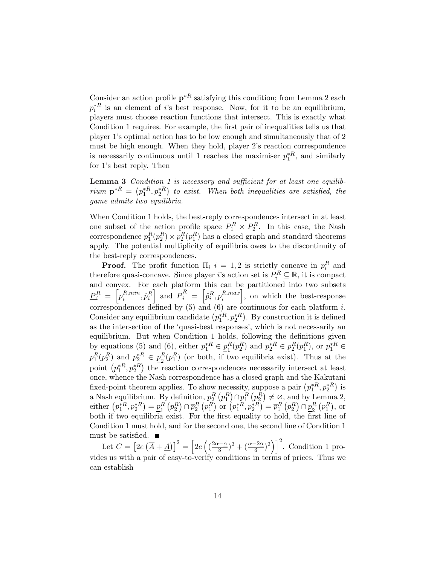Consider an action profile  $p^*$ <sup>R</sup> satisfying this condition; from Lemma 2 each  $p_i^{*R}$  is an element of *i*'s best response. Now, for it to be an equilibrium, players must choose reaction functions that intersect. This is exactly what Condition 1 requires. For example, the first pair of inequalities tells us that player 1's optimal action has to be low enough and simultaneously that of 2 must be high enough. When they hold, player 2's reaction correspondence is necessarily continuous until 1 reaches the maximiser  $p_1^*^R$ , and similarly for 1's best reply. Then

**Lemma 3** Condition 1 is necessary and sufficient for at least one equilibrium  $\mathbf{p}^{*R} = (p_1^{*R}, p_2^{*R})$  to exist. When both inequalities are satisfied, the game admits two equilibria.

When Condition 1 holds, the best-reply correspondences intersect in at least one subset of the action profile space  $P_1^R \times P_2^R$ . In this case, the Nash correspondence  $p_1^R(p_2^R) \times p_2^R(p_1^R)$  has a closed graph and standard theorems apply. The potential multiplicity of equilibria owes to the discontinuity of the best-reply correspondences.

**Proof.** The profit function  $\Pi_i$   $i = 1, 2$  is strictly concave in  $p_i^R$  and therefore quasi-concave. Since player *i*'s action set is  $P_i^R \subseteq \mathbb{R}$ , it is compact and convex. For each platform this can be partitioned into two subsets  $P_i^R \ = \ \left[ p_i^{R,min} \right]$  $\left[ \hat{p}_i^{R,min}, \hat{p}_i^{R} \right]$  and  $\overline{P}_i^{R} = \left[ \hat{p}_i^{R}, p_i^{R,max} \right]$  $\binom{R,max}{i}$ , on which the best-response correspondences defined by (5) and (6) are continuous for each platform *i*. correspondences denned by (5) and (6) are continuous for each platform *t*.<br>Consider any equilibrium candidate  $(p_1^{*R}, p_2^{*R})$ . By construction it is defined as the intersection of the 'quasi-best responses', which is not necessarily an equilibrium. But when Condition 1 holds, following the definitions given by equations (5) and (6), either  $p_1^*^R \in \underline{p}_1^R$  ${}_{1}^{R}(p_{2}^{R})$  and  $p_{2}^{*R} \in \bar{p}_{2}^{R}(p_{1}^{R})$ , or  $p_{1}^{*R} \in$  $\overline{p}_1^R(p_2^R)$  and  $p_2^{*R} \in \underline{p}_2^R$  $R \in \underline{p}_2^R(p_1^R)$  (or both, if two equilibria exist). Thus at the  $p_1 \ (p_2)$  and  $p_2 \in \underline{p}_2$  ( $p_1$ ) (or both, if two equilibrities exist). Thus at the point  $(p_1^{*R}, p_2^{*R})$  the reaction correspondences necessarily intersect at least once, whence the Nash correspondence has a closed graph and the Kakutani once, whence the Nash correspondence has a closed graph and the Nakutahi<br>fixed-point theorem applies. To show necessity, suppose a pair  $(p_1^{*R}, p_2^{*R})$  is a Nash equilibrium. By definition,  $p_2^R$ ¡  $p_1^R$ e<br>、  $\cap p_1^R$ ¡  $p_2^R$ ¢ a Nash equilibrium. By definition,  $p_2^R(p_1^R) \cap p_1^R(p_2^R) \neq \emptyset$ , and by Lemma 2,<br>either  $(p_1^{*R}, p_2^{*R}) = p_1^R(p_2^R) \cap \overline{p}_2^R(p_1^R)$  or  $(p_1^{*R}, p_2^{*R}) = \overline{p}_1^R(p_2^R) \cap \underline{p}_2^R(p_1^R)$ , or ∪<br>∕  $=p_1^R$ 1 ¡  $p_2^R$ ¢  $\cap \overline{p}^R_2$ ¡  $p_1^R$  $\binom{p_1^*+p_1^*}{p_1^*+p_2^*}$  $\sum_{i=1}^{n}$  $= \overline{p}_1^R$ ¡  $p_2^R$ ¢  $\cap p_2^R$ 2 eı  $p_1^R$ ¢ , or both if two equilibria exist. For the first equality to hold, the first line of Condition 1 must hold, and for the second one, the second line of Condition 1 must be satisfied.  $\blacksquare$ h  $\overline{a}$ 

Let  $C =$ נכ<br>ד 2e ·;  $\overline{A} + \underline{A}$ )<sup>2</sup> = 2e  $\left(\frac{2\overline{\alpha}-\underline{\alpha}}{2}\right)$  $(\frac{\overline{\alpha}-2\alpha}{3})^2+(\frac{\overline{\alpha}-2\alpha}{3})^2$ . Condition 1 provides us with a pair of easy-to-verify conditions in terms of prices. Thus we can establish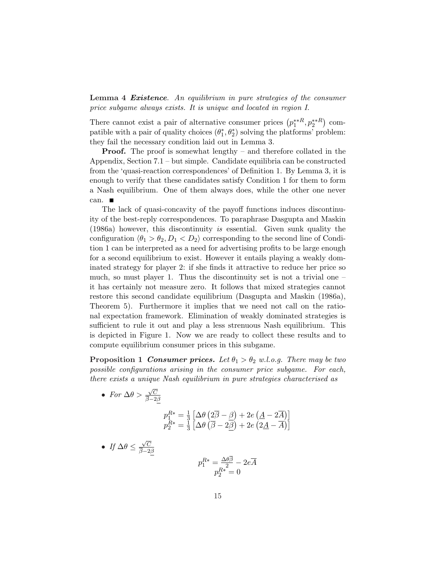Lemma 4 Existence. An equilibrium in pure strategies of the consumer price subgame always exists. It is unique and located in region I.

There cannot exist a pair of alternative consumer prices  $(p_1^{**R}, p_2^{**R})$ ¢ compatible with a pair of quality choices  $(\theta_1^*, \theta_2^*)$  solving the platforms' problem: they fail the necessary condition laid out in Lemma 3.

**Proof.** The proof is somewhat lengthy – and therefore collated in the Appendix, Section 7.1 – but simple. Candidate equilibria can be constructed from the 'quasi-reaction correspondences' of Definition 1. By Lemma 3, it is enough to verify that these candidates satisfy Condition 1 for them to form a Nash equilibrium. One of them always does, while the other one never can.

The lack of quasi-concavity of the payoff functions induces discontinuity of the best-reply correspondences. To paraphrase Dasgupta and Maskin (1986a) however, this discontinuity is essential. Given sunk quality the configuration  $\langle \theta_1 > \theta_2, D_1 < D_2 \rangle$  corresponding to the second line of Condition 1 can be interpreted as a need for advertising profits to be large enough for a second equilibrium to exist. However it entails playing a weakly dominated strategy for player 2: if she finds it attractive to reduce her price so much, so must player 1. Thus the discontinuity set is not a trivial one  $$ it has certainly not measure zero. It follows that mixed strategies cannot restore this second candidate equilibrium (Dasgupta and Maskin (1986a), Theorem 5). Furthermore it implies that we need not call on the rational expectation framework. Elimination of weakly dominated strategies is sufficient to rule it out and play a less strenuous Nash equilibrium. This is depicted in Figure 1. Now we are ready to collect these results and to compute equilibrium consumer prices in this subgame.

**Proposition 1 Consumer prices.** Let  $\theta_1 > \theta_2$  w.l.o.g. There may be two possible configurations arising in the consumer price subgame. For each, there exists a unique Nash equilibrium in pure strategies characterised as

• For  $\Delta\theta$  >  $\sqrt{C}$  $_{\beta-2\beta}$  $p_1^{R*} = \frac{1}{3}$ 3 £ ∆θ ¡  $2\overline{\beta}-\beta$ ¢  $+2e$ ¡  $\underline{A}-2\overline{A}$  $\frac{1}{2}$  $p_2^{R*}=\frac{1}{3}$ 3 £  $Δθ$  $\langle$  $\overline{\beta}-2\beta$  $\frac{1}{2}$  $+2e$  $\overline{\mathcal{L}}$  $2\underline{A}-\overline{A}$  $\sqrt{1}$ • If  $\Delta\theta \leq$  $\sqrt{C}$  $\overline{\beta}$ −2 $\beta$  $p_1^{R*} = \frac{\Delta\theta\beta}{2} - 2e\overline{A}$  $p_2^{R*} = 0$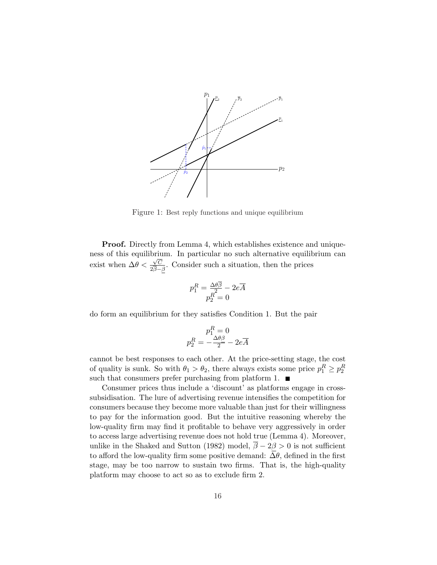

Figure 1: Best reply functions and unique equilibrium

**Proof.** Directly from Lemma 4, which establishes existence and uniqueness of this equilibrium. In particular no such alternative equilibrium can exist when  $\Delta\theta < \frac{\sqrt{C}}{2}$  $\frac{\sqrt{C}}{2\beta-\beta}$ . Consider such a situation, then the prices

$$
p_1^R = \frac{\Delta\theta \overline{\beta}}{p_2^R = 0} - 2e\overline{A}
$$

do form an equilibrium for they satisfies Condition 1. But the pair

$$
p_1^R = 0
$$
  

$$
p_2^R = -\frac{\Delta\theta\beta}{2} - 2e\overline{A}
$$

cannot be best responses to each other. At the price-setting stage, the cost of quality is sunk. So with  $\theta_1 > \theta_2$ , there always exists some price  $p_1^R \ge p_2^R$ such that consumers prefer purchasing from platform 1.  $\blacksquare$ 

Consumer prices thus include a 'discount' as platforms engage in crosssubsidisation. The lure of advertising revenue intensifies the competition for consumers because they become more valuable than just for their willingness to pay for the information good. But the intuitive reasoning whereby the low-quality firm may find it profitable to behave very aggressively in order to access large advertising revenue does not hold true (Lemma 4). Moreover, unlike in the Shaked and Sutton (1982) model,  $\bar{\beta} - 2\beta > 0$  is not sufficient to afford the low-quality firm some positive demand:  $\overline{\Delta \theta}$ , defined in the first stage, may be too narrow to sustain two firms. That is, the high-quality platform may choose to act so as to exclude firm 2.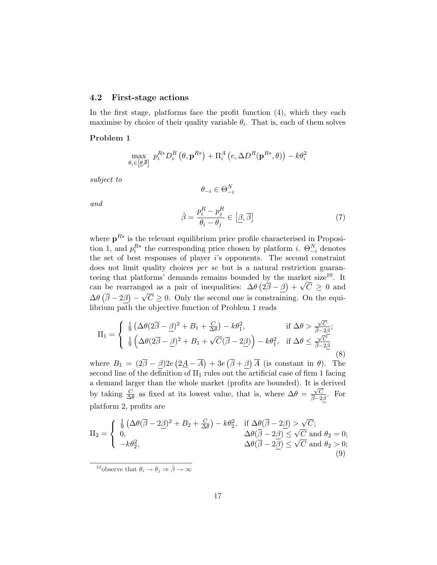#### 4.2 First-stage actions

In the first stage, platforms face the profit function (4), which they each maximise by choice of their quality variable  $\theta_i$ . That is, each of them solves

#### Problem 1

$$
\max_{\theta_i \in [\underline{\theta}, \overline{\theta}]} \ p_i^{R*} D_i^R \left( \theta, \mathbf{p}^{R*} \right) + \Pi_i^A \left( e, \Delta D^R(\mathbf{p}^{R*}, \theta) \right) - k \theta_i^2
$$

subject to

and

$$
\theta_{-i} \in \Theta^N_{-i}
$$

(7)

$$
\hat{\beta} = \frac{p_i^R - p_j^R}{\theta_i - \theta_j} \in [\underline{\beta}, \overline{\beta}]
$$

where  $p^{R*}$  is the relevant equilibrium price profile characterised in Proposition 1, and  $p_i^{R*}$  the corresponding price chosen by platform *i*.  $\Theta_{-i}^N$  denotes the set of best responses of player i's opponents. The second constraint does not limit quality choices *per se* but is a natural restriction guaranteeing that platforms' demands remains bounded by the market size<sup>10</sup>. It can be rearranged as a pair of inequalities:  $\Delta\theta \left(2\bar{\beta} - \beta\right) + \sqrt{C} \ge 0$  and  $\Delta\theta (\bar{\beta} - 2\beta) - \sqrt{C} \geq 0$ . Only the second one is constraining. On the equilibrium path the objective function of Problem 1 reads

$$
\Pi_1 = \begin{cases} \frac{1}{9} \left( \Delta \theta (2\overline{\beta} - \underline{\beta})^2 + B_1 + \frac{C}{\Delta \theta} \right) - k\theta_1^2, & \text{if } \Delta \theta > \frac{\sqrt{C}}{\overline{\beta} - 2\overline{\beta}}; \\ \frac{1}{9} \left( \Delta \theta (2\overline{\beta} - \underline{\beta})^2 + B_1 + \sqrt{C} (\overline{\beta} - 2\underline{\beta}) \right) - k\theta_1^2, & \text{if } \Delta \theta \le \frac{\sqrt{C}}{\overline{\beta} - 2\underline{\beta}} \end{cases}
$$
(8)

where  $B_1 = (2\overline{\beta} - \beta)2e$  $2\underline{A}-\overline{A}$  $+3e$  $\overline{\beta} + \beta$  $\overline{A}$  (is constant in  $\theta$ ). The second line of the definition of  $\Pi_1$  rules out the artificial case of firm 1 facing a demand larger than the whole market (profits are bounded). It is derived by taking  $\frac{C}{\Delta \theta}$  as fixed at its lowest value, that is, where  $\Delta \theta = \frac{\sqrt{C}}{\beta - 2}$  $\frac{\sqrt{C}}{\beta-2\beta}$ . For platform 2, profits are

$$
\Pi_2 = \begin{cases} \frac{1}{9} \left( \Delta \theta (\overline{\beta} - 2\underline{\beta})^2 + B_2 + \frac{C}{\Delta \theta} \right) - k\theta_2^2, & \text{if } \Delta \theta (\overline{\beta} - 2\underline{\beta}) > \sqrt{C}; \\ 0, & \Delta \theta (\overline{\beta} - 2\underline{\beta}) \le \sqrt{C} \text{ and } \theta_2 = 0; \\ -k\theta_2^2, & \Delta \theta (\overline{\beta} - 2\underline{\beta}) \le \sqrt{C} \text{ and } \theta_2 > 0; \\ (9) \end{cases}
$$

<sup>10</sup>observe that  $\theta_i \rightarrow \theta_j \Rightarrow \hat{\beta} \rightarrow \infty$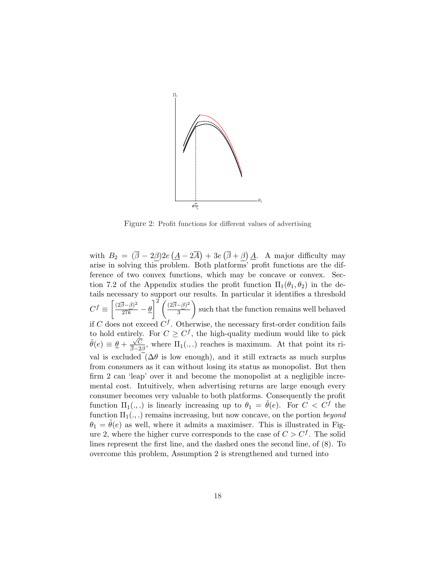

Figure 2: Profit functions for different values of advertising

with  $B_2 = (\overline{\beta} - 2\beta)2e$ ¡  $\underline{A}-2\overline{A}$ ¢  $+3e$ ¡  $\overline{\beta} + \beta$ ¢  $\underline{A}$ . A major difficulty may arise in solving this problem. Both platforms' profit functions are the difference of two convex functions, which may be concave or convex. Section 7.2 of the Appendix studies the profit function  $\Pi_1(\theta_1, \theta_2)$  in the details necessary to support our results. In particular it identifies a threshold  $C^f \equiv$ ا<br>⊃  $\frac{(2\overline{\beta}-\beta)^2}{27k}-\underline{\theta}$  $\int_1^2 \int (2\overline{\beta}-\beta)^2$ 3  $\frac{1}{\sqrt{2}}$ such that the function remains well behaved if C does not exceed  $C<sup>f</sup>$ . Otherwise, the necessary first-order condition fails to hold entirely. For  $C \geq C^f$ , the high-quality medium would like to pick  $\tilde{\theta}(e) \equiv \frac{\theta}{2} + \frac{\sqrt{C}}{2}$  $\frac{\sqrt{C}}{\beta-2\beta}$ , where  $\Pi_1(.,.)$  reaches is maximum. At that point its rival is excluded  $(\Delta \theta)$  is low enough), and it still extracts as much surplus from consumers as it can without losing its status as monopolist. But then firm 2 can 'leap' over it and become the monopolist at a negligible incremental cost. Intuitively, when advertising returns are large enough every consumer becomes very valuable to both platforms. Consequently the profit function  $\Pi_1(.,.)$  is linearly increasing up to  $\theta_1 = \tilde{\theta}(e)$ . For  $C < C^f$  the function  $\Pi_1(.,.)$  remains increasing, but now concave, on the portion beyond  $\theta_1 = \tilde{\theta}(e)$  as well, where it admits a maximiser. This is illustrated in Figure 2, where the higher curve corresponds to the case of  $C > C<sup>f</sup>$ . The solid lines represent the first line, and the dashed ones the second line, of (8). To overcome this problem, Assumption 2 is strengthened and turned into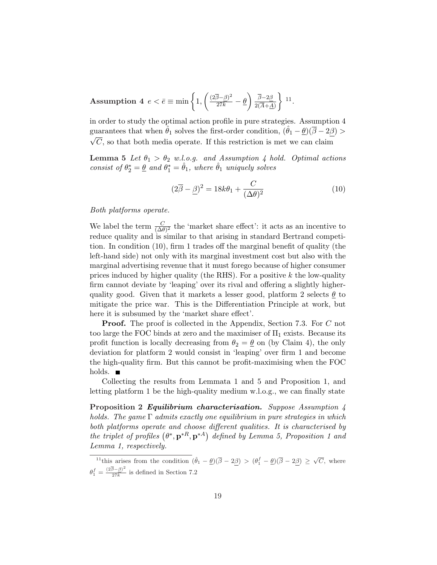$\textbf{Assumption 4}\ \ e < \bar{e} \equiv \min \Big\{ 1, \Big\}$  $\overline{a}$  $\frac{(2\overline{\beta}-\beta)^2}{27k}-\underline{\theta}$  $\mathbf{r}$  $\beta-2\beta$  $2(\overline{A}+\underline{A})$  $\mathbf{v}$ 11 .

in order to study the optimal action profile in pure strategies. Assumption 4 guarantees that when  $\hat{\theta}_1$  solves the first-order condition,  $(\hat{\theta}_1 - \underline{\theta})(\overline{\beta} - 2\underline{\beta}) >$  $\sqrt{C}$ , so that both media operate. If this restriction is met we can claim

**Lemma 5** Let  $\theta_1 > \theta_2$  w.l.o.g. and Assumption 4 hold. Optimal actions consist of  $\theta_2^* = \underline{\theta}$  and  $\theta_1^* = \hat{\theta}_1$ , where  $\hat{\theta}_1$  uniquely solves

$$
(2\overline{\beta} - \underline{\beta})^2 = 18k\theta_1 + \frac{C}{(\Delta\theta)^2}
$$
 (10)

Both platforms operate.

We label the term  $\frac{C}{(\Delta \theta)^2}$  the 'market share effect': it acts as an incentive to reduce quality and is similar to that arising in standard Bertrand competition. In condition (10), firm 1 trades off the marginal benefit of quality (the left-hand side) not only with its marginal investment cost but also with the marginal advertising revenue that it must forego because of higher consumer prices induced by higher quality (the RHS). For a positive  $k$  the low-quality firm cannot deviate by 'leaping' over its rival and offering a slightly higherquality good. Given that it markets a lesser good, platform 2 selects  $\theta$  to mitigate the price war. This is the Differentiation Principle at work, but here it is subsumed by the 'market share effect'.

**Proof.** The proof is collected in the Appendix, Section 7.3. For C not too large the FOC binds at zero and the maximiser of  $\Pi_1$  exists. Because its profit function is locally decreasing from  $\theta_2 = \underline{\theta}$  on (by Claim 4), the only deviation for platform 2 would consist in 'leaping' over firm 1 and become the high-quality firm. But this cannot be profit-maximising when the FOC holds.  $\blacksquare$ 

Collecting the results from Lemmata 1 and 5 and Proposition 1, and letting platform 1 be the high-quality medium w.l.o.g., we can finally state

Proposition 2 Equilibrium characterisation. Suppose Assumption 4 holds. The game  $\Gamma$  admits exactly one equilibrium in pure strategies in which both platforms operate and choose different qualities. It is characterised by both platforms operate and choose afferent qualities. It is characterised by<br>the triplet of profiles  $(\theta^*, p^{*R}, p^{*A})$  defined by Lemma 5, Proposition 1 and Lemma 1, respectively.

<sup>&</sup>lt;sup>11</sup>this arises from the condition  $(\hat{\theta}_1 - \underline{\theta})(\overline{\beta} - 2\underline{\beta}) > (\theta_1^f - \underline{\theta})(\overline{\beta} - 2\underline{\beta}) \ge \sqrt{C}$ , where  $\theta_1^f = \frac{(2\overline{\beta} - \underline{\beta})^2}{27k}$  $\frac{27E}{27k}$  is defined in Section 7.2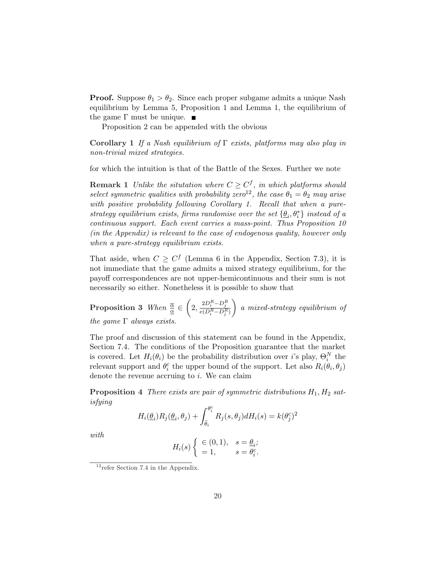**Proof.** Suppose  $\theta_1 > \theta_2$ . Since each proper subgame admits a unique Nash equilibrium by Lemma 5, Proposition 1 and Lemma 1, the equilibrium of the game  $\Gamma$  must be unique.  $\blacksquare$ 

Proposition 2 can be appended with the obvious

Corollary 1 If a Nash equilibrium of  $\Gamma$  exists, platforms may also play in non-trivial mixed strategies.

for which the intuition is that of the Battle of the Sexes. Further we note

**Remark 1** Unlike the situtation where  $C \geq C<sup>f</sup>$ , in which platforms should select symmetric qualities with probability zero<sup>12</sup>, the case  $\theta_1 = \theta_2$  may arise with positive probability following Corollary 1. Recall that when a purestrategy equilibrium exists, firms randomise over the set  $\{\underline{\theta}_i, \theta^*_i\}$  instead of a continuous support. Each event carries a mass-point. Thus Proposition 10 (in the Appendix) is relevant to the case of endogenous quality, however only when a pure-strategy equilibrium exists.

That aside, when  $C \geq C^f$  (Lemma 6 in the Appendix, Section 7.3), it is not immediate that the game admits a mixed strategy equilibrium, for the payoff correspondences are not upper-hemicontinuous and their sum is not necessarily so either. Nonetheless it is possible to show that

Proposition 3 When  $\frac{\overline{\alpha}}{\underline{\alpha}} \in$  $\overline{a}$  $2, \frac{2D_i^R - D_j^R}{e(D_i^R - D_j^R)}$  $\mathbf{r}$ a mixed-strategy equilibrium of the game  $\Gamma$  always exists.

The proof and discussion of this statement can be found in the Appendix, Section 7.4. The conditions of the Proposition guarantee that the market is covered. Let  $H_i(\theta_i)$  be the probability distribution over *i*'s play,  $\Theta_i^N$  the relevant support and  $\theta_i^c$  the upper bound of the support. Let also  $R_i(\hat{\theta}_i, \theta_j)$ denote the revenue accruing to  $i$ . We can claim

**Proposition 4** There exists are pair of symmetric distributions  $H_1, H_2$  satisfying

$$
H_i(\underline{\theta}_i)R_j(\underline{\theta}_i,\theta_j) + \int_{\tilde{\theta}_i}^{\theta_i^c} R_j(s,\theta_j) dH_i(s) = k(\theta_j^c)^2
$$

with

$$
H_i(s) \begin{cases} \in (0,1), & s = \underline{\theta}_i; \\ = 1, & s = \theta_i^c. \end{cases}
$$

 $12$ refer Section 7.4 in the Appendix.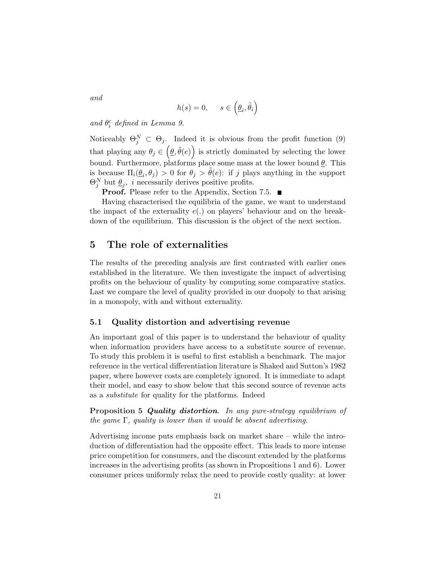and

$$
h(s) = 0, \quad s \in \left(\underline{\theta}_i, \tilde{\theta}_i\right)
$$

and  $\theta_i^c$  defined in Lemma 9.

Noticeably  $\Theta_j^N \subset \Theta_j$ . Indeed it is obvious from the profit function (9) that playing any  $\theta_j \in (\underline{\theta}, \tilde{\theta}(e))$  is strictly dominated by selecting the lower bound. Furthermore, platforms place some mass at the lower bound  $\underline{\theta}$ . This is because  $\Pi_i(\underline{\theta}_i, \theta_j) > 0$  for  $\theta_j > \tilde{\theta}(e)$ : if j plays anything in the support  $\Theta_j^N$  but  $\underline{\theta}_j$ , *i* necessarily derives positive profits.

**Proof.** Please refer to the Appendix, Section 7.5. ■

Having characterised the equilibria of the game, we want to understand the impact of the externality  $e(.)$  on players' behaviour and on the breakdown of the equilibrium. This discussion is the object of the next section.

# 5 The role of externalities

The results of the preceding analysis are first contrasted with earlier ones established in the literature. We then investigate the impact of advertising profits on the behaviour of quality by computing some comparative statics. Last we compare the level of quality provided in our duopoly to that arising in a monopoly, with and without externality.

# 5.1 Quality distortion and advertising revenue

An important goal of this paper is to understand the behaviour of quality when information providers have access to a substitute source of revenue. To study this problem it is useful to first establish a benchmark. The major reference in the vertical differentiation literature is Shaked and Sutton's 1982 paper, where however costs are completely ignored. It is immediate to adapt their model, and easy to show below that this second source of revenue acts as a substitute for quality for the platforms. Indeed

Proposition 5 Quality distortion. In any pure-strategy equilibrium of the game  $\Gamma$ , quality is lower than it would be absent advertising.

Advertising income puts emphasis back on market share – while the introduction of differentiation had the opposite effect. This leads to more intense price competition for consumers, and the discount extended by the platforms increases in the advertising profits (as shown in Propositions 1 and 6). Lower consumer prices uniformly relax the need to provide costly quality: at lower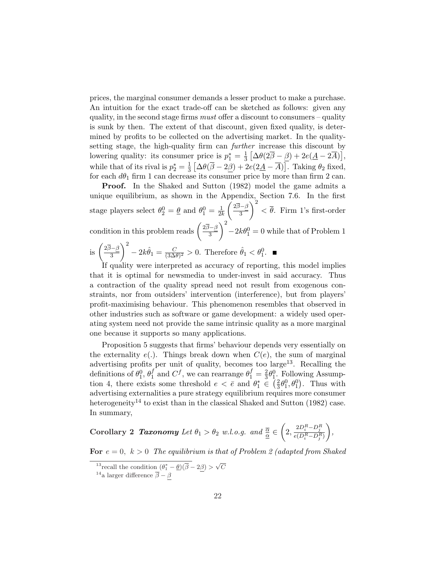prices, the marginal consumer demands a lesser product to make a purchase. An intuition for the exact trade-off can be sketched as follows: given any quality, in the second stage firms *must* offer a discount to consumers – quality is sunk by then. The extent of that discount, given fixed quality, is determined by profits to be collected on the advertising market. In the qualitysetting stage, the high-quality firm can *further* increase this discount by lowering quality: its consumer price is  $p_1^* = \frac{1}{3}$  $\frac{1}{3}\left[\Delta\theta(2\overline{\beta}-\underline{\beta})+2e(\underline{A}-2\overline{A})\right],$ while that of its rival is  $p_2^* = \frac{1}{3}$ 3 £  $\Delta\theta(\overline{\beta}-2\beta)+2e(2\underline{A}-\overline{A})$ ا<br>آ . Taking  $\theta_2$  fixed, for each  $d\theta_1$  firm 1 can decrease its consumer price by more than firm 2 can.

Proof. In the Shaked and Sutton (1982) model the game admits a unique equilibrium, as shown in the Appendix, Section 7.6. In the first stage players select  $\theta_2^0 = \underline{\theta}$  and  $\theta_1^0 = \frac{1}{2l}$  $\overline{2k}$ µ 2β−β 3  $\frac{x}{2}$  $\langle \overline{\theta} \rangle$ . Firm 1's first-order condition in this problem reads  $\left(\frac{2\overline{\beta}-\beta}{3}\right)$  $\left(\frac{3-\beta}{3}\right)$  - 2k $\theta_1^0 = 0$  while that of Problem 1  $\sqrt{2}$ is  $\left(\frac{2\overline{\beta}-\beta}{3}\right)$ 3  $\sqrt{2}$  $-2k\hat{\theta}_1 = \frac{C}{(3\Delta)}$  $\frac{C}{(3\Delta\theta)^2} > 0$ . Therefore  $\hat{\theta}_1 < \theta_1^0$ .

If quality were interpreted as accuracy of reporting, this model implies that it is optimal for newsmedia to under-invest in said accuracy. Thus a contraction of the quality spread need not result from exogenous constraints, nor from outsiders' intervention (interference), but from players' profit-maximising behaviour. This phenomenon resembles that observed in other industries such as software or game development: a widely used operating system need not provide the same intrinsic quality as a more marginal one because it supports so many applications.

Proposition 5 suggests that firms' behaviour depends very essentially on the externality  $e(.)$ . Things break down when  $C(e)$ , the sum of marginal advertising profits per unit of quality, becomes too large<sup>13</sup>. Recalling the definitions of  $\theta_1^0$ ,  $\theta_1^f$  $\int_1^r$  and  $C^f$ , we can rearrange  $\theta_1^f = \frac{2}{3}$  $\frac{2}{3}\theta_1^0$ . Following Assumption 4, there exists some threshold  $e < \bar{e}$  and  $\theta_1^* \in \left(\frac{2}{3}\right)$  $(\frac{2}{3}\theta_1^0, \theta_1^0)$ . Thus with advertising externalities a pure strategy equilibrium requires more consumer heterogeneity<sup>14</sup> to exist than in the classical Shaked and Sutton (1982) case. In summary,

Corollary 2 **Taxonomy** Let 
$$
\theta_1 > \theta_2
$$
 w.l.o.g. and  $\frac{\overline{\alpha}}{\underline{\alpha}} \in \left(2, \frac{2D_i^R - D_j^R}{e(D_i^R - D_j^R)}\right)$ ,

For  $e = 0$ ,  $k > 0$  The equilibrium is that of Problem 2 (adapted from Shaked

<sup>&</sup>lt;sup>13</sup> recall the condition  $(\theta_1^* - \underline{\theta})(\overline{\beta} - 2\beta) > \sqrt{C}$ 

<sup>&</sup>lt;sup>14</sup>a larger difference  $\overline{\beta} - \beta$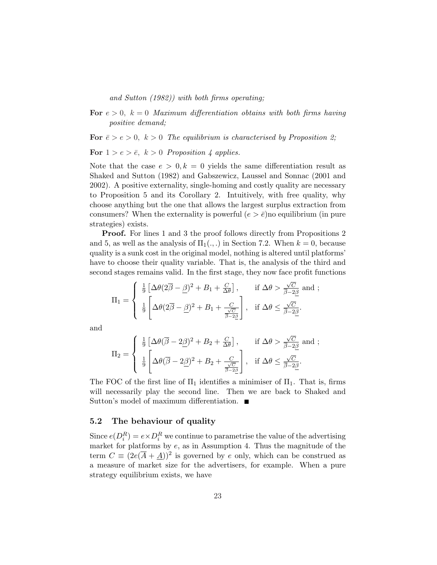and Sutton (1982)) with both firms operating;

For  $e > 0$ ,  $k = 0$  Maximum differentiation obtains with both firms having positive demand;

For  $\bar{e} > e > 0$ ,  $k > 0$  The equilibrium is characterised by Proposition 2;

For  $1 > e > \overline{e}$ ,  $k > 0$  Proposition 4 applies.

Note that the case  $e > 0, k = 0$  yields the same differentiation result as Shaked and Sutton (1982) and Gabszewicz, Laussel and Sonnac (2001 and 2002). A positive externality, single-homing and costly quality are necessary to Proposition 5 and its Corollary 2. Intuitively, with free quality, why choose anything but the one that allows the largest surplus extraction from consumers? When the externality is powerful  $(e > \bar{e})$  no equilibrium (in pure strategies) exists.

**Proof.** For lines 1 and 3 the proof follows directly from Propositions 2 and 5, as well as the analysis of  $\Pi_1(.,.)$  in Section 7.2. When  $k = 0$ , because quality is a sunk cost in the original model, nothing is altered until platforms' have to choose their quality variable. That is, the analysis of the third and second stages remains valid. In the first stage, they now face profit functions

$$
\Pi_1 = \begin{cases} \frac{1}{9} \left[ \Delta \theta (2\overline{\beta} - \underline{\beta})^2 + B_1 + \frac{C}{\Delta \theta} \right], & \text{if } \Delta \theta > \frac{\sqrt{C}}{\overline{\beta} - 2\underline{\beta}} \text{ and }; \\ \frac{1}{9} \left[ \Delta \theta (2\overline{\beta} - \underline{\beta})^2 + B_1 + \frac{C}{\frac{\sqrt{C}}{\overline{\beta} - 2\underline{\beta}}} \right], & \text{if } \Delta \theta \le \frac{\sqrt{C}}{\overline{\beta} - 2\underline{\beta}}. \end{cases}
$$

and

$$
\Pi_2 = \left\{ \begin{array}{ll} \frac{1}{9} \left[ \Delta \theta (\overline{\beta} - 2\underline{\beta})^2 + B_2 + \frac{C}{\Delta \theta} \right], & \text{if } \Delta \theta > \frac{\sqrt{C}}{\overline{\beta} - 2\underline{\beta}} \text{ and }; \\ \frac{1}{9} \left[ \Delta \theta (\overline{\beta} - 2\underline{\beta})^2 + B_2 + \frac{C}{\frac{\sqrt{C}}{\overline{\beta} - 2\underline{\beta}}} \right], & \text{if } \Delta \theta \leq \frac{\sqrt{C}}{\overline{\beta} - 2\underline{\beta}}. \end{array} \right.
$$

The FOC of the first line of  $\Pi_1$  identifies a minimiser of  $\Pi_1$ . That is, firms will necessarily play the second line. Then we are back to Shaked and Sutton's model of maximum differentiation. ■

#### 5.2 The behaviour of quality

Since  $e(D_i^R) = e \times D_i^R$  we continue to parametrise the value of the advertising market for platforms by  $e$ , as in Assumption 4. Thus the magnitude of the term  $C \equiv (2e(\overline{A} + \underline{A}))^2$  is governed by e only, which can be construed as a measure of market size for the advertisers, for example. When a pure strategy equilibrium exists, we have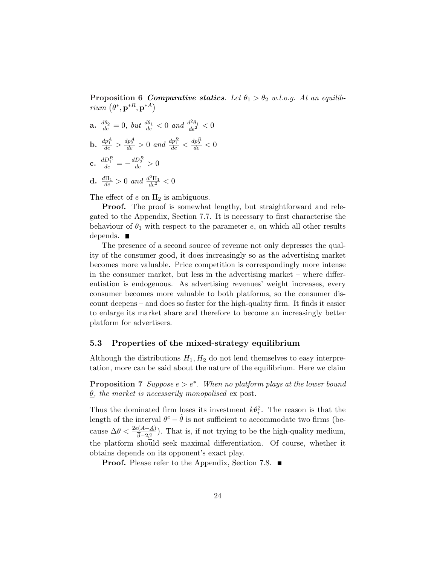Proposition 6 Comparative statics. Let  $\theta_1 > \theta_2$  w.l.o.g. At an equilib-**Proposition 6 C**<br>*rium*  $(\theta^*, \mathbf{p}^{*R}, \mathbf{p}^{*A})$ 

- **a.**  $\frac{d\theta_2}{de} = 0$ , but  $\frac{d\theta_1}{de} < 0$  and  $\frac{d^2\theta_1}{de^2} < 0$
- **b.**  $\frac{dp_1^A}{de} > \frac{dp_2^A}{de} > 0$  and  $\frac{dp_1^R}{de} < \frac{dp_2^R}{de} < 0$
- c.  $\frac{dD_1^R}{de} = -\frac{dD_2^R}{de} > 0$
- **d.**  $\frac{d\Pi_1}{de} > 0$  and  $\frac{d^2\Pi_1}{de^2} < 0$

The effect of  $e$  on  $\Pi_2$  is ambiguous.

**Proof.** The proof is somewhat lengthy, but straightforward and relegated to the Appendix, Section 7.7. It is necessary to first characterise the behaviour of  $\theta_1$  with respect to the parameter e, on which all other results depends. ■

The presence of a second source of revenue not only depresses the quality of the consumer good, it does increasingly so as the advertising market becomes more valuable. Price competition is correspondingly more intense in the consumer market, but less in the advertising market – where differentiation is endogenous. As advertising revenues' weight increases, every consumer becomes more valuable to both platforms, so the consumer discount deepens – and does so faster for the high-quality firm. It finds it easier to enlarge its market share and therefore to become an increasingly better platform for advertisers.

## 5.3 Properties of the mixed-strategy equilibrium

Although the distributions  $H_1, H_2$  do not lend themselves to easy interpretation, more can be said about the nature of the equilibrium. Here we claim

**Proposition 7** Suppose  $e > e^*$ . When no platform plays at the lower bound  $\underline{\theta}$ , the market is necessarily monopolised ex post.

Thus the dominated firm loses its investment  $k\theta_i^2$ . The reason is that the length of the interval  $\theta^c - \tilde{\theta}$  is not sufficient to accommodate two firms (because  $\Delta\theta < \frac{2e(A+\underline{A})}{\overline{\beta}-2\beta}$ . That is, if not trying to be the high-quality medium, the platform should seek maximal differentiation. Of course, whether it obtains depends on its opponent's exact play.

**Proof.** Please refer to the Appendix, Section 7.8.  $\blacksquare$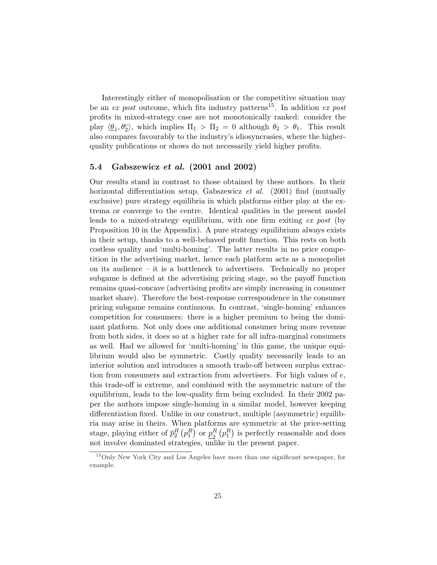Interestingly either of monopolisation or the competitive situation may be an  $ex$  post outcome, which fits industry patterns<sup>15</sup>. In addition  $ex$  post profits in mixed-strategy case are not monotonically ranked: consider the play  $\langle \underline{\theta}_1, \theta_2^c \rangle$ , which implies  $\Pi_1 > \Pi_2 = 0$  although  $\theta_2 > \theta_1$ . This result also compares favourably to the industry's idiosyncrasies, where the higherquality publications or shows do not necessarily yield higher profits.

## 5.4 Gabszewicz *et al.* (2001 and 2002)

Our results stand in contrast to those obtained by these authors. In their horizontal differentiation setup, Gabszewicz et al. (2001) find (mutually exclusive) pure strategy equilibria in which platforms either play at the extrema or converge to the centre. Identical qualities in the present model leads to a mixed-strategy equilibrium, with one firm exiting ex post (by Proposition 10 in the Appendix). A pure strategy equilibrium always exists in their setup, thanks to a well-behaved profit function. This rests on both costless quality and 'multi-homing'. The latter results in no price competition in the advertising market, hence each platform acts as a monopolist on its audience – it is a bottleneck to advertisers. Technically no proper subgame is defined at the advertising pricing stage, so the payoff function remains quasi-concave (advertising profits are simply increasing in consumer market share). Therefore the best-response correspondence in the consumer pricing subgame remains continuous. In contrast, 'single-homing' enhances competition for consumers: there is a higher premium to being the dominant platform. Not only does one additional consumer bring more revenue from both sides, it does so at a higher rate for all infra-marginal consumers as well. Had we allowed for 'multi-homing' in this game, the unique equilibrium would also be symmetric. Costly quality necessarily leads to an interior solution and introduces a smooth trade-off between surplus extraction from consumers and extraction from advertisers. For high values of  $e$ , this trade-off is extreme, and combined with the asymmetric nature of the equilibrium, leads to the low-quality firm being excluded. In their 2002 paper the authors impose single-homing in a similar model, however keeping differentiation fixed. Unlike in our construct, multiple (asymmetric) equilibria may arise in theirs. When platforms are symmetric at the price-setting stage, playing either of  $\bar{p}_2^R$ ¡  $p_1^R$  $\ddot{\mathbf{r}}$ or  $p_{\alpha}^R$ 2 ¡  $p_1^R$ t]<br>∖ is perfectly reasonable and does not involve dominated strategies, unlike in the present paper.

<sup>15</sup>Only New York City and Los Angeles have more than one significant newspaper, for example.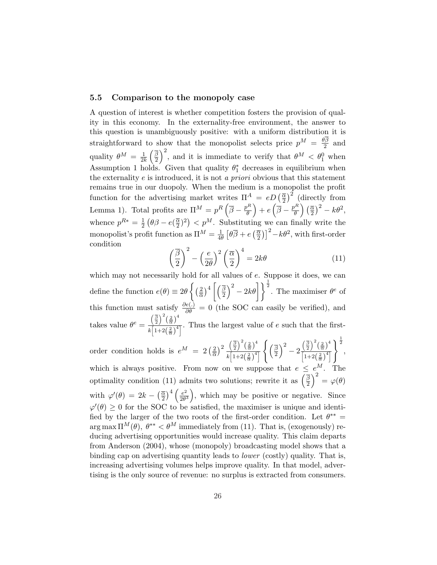## 5.5 Comparison to the monopoly case

A question of interest is whether competition fosters the provision of quality in this economy. In the externality-free environment, the answer to this question is unambiguously positive: with a uniform distribution it is straightforward to show that the monopolist selects price  $p^M = \frac{\theta \beta}{2}$  $rac{7\beta}{2}$  and quality  $\theta^M = \frac{1}{2l}$  $\overline{2k}$  $\frac{1}{\beta}$ 2  $\frac{110}{12}$ , and it is immediate to verify that  $\theta^M < \theta_1^0$  when Assumption 1 holds. Given that quality  $\theta_1^*$  decreases in equilibrium when the externality  $e$  is introduced, it is not a priori obvious that this statement remains true in our duopoly. When the medium is a monopolist the profit function for the advertising market writes  $\Pi^A = eD(\frac{\overline{\alpha}}{2})$ 2  $\int_{2}^{2}$  (directly from Function for the advertising market will<br>Lemma 1). Total profits are  $\Pi^M = p^R \left( \frac{1}{2} \right)$  $\overline{\beta}-\frac{p^R}{\theta}$ θ ´  $+$   $e$  $\overline{\phantom{a}}$  $\overline{\beta}-\frac{p^R}{\theta}$ θ ane<br> $\frac{\alpha}{\alpha}$ 2  $\left( \frac{2}{3} - k \theta^2 \right)$ whence  $p^{R*} = \frac{1}{2}$  $rac{1}{2}(\theta \beta - e(\frac{\overline{\alpha}}{2})$  $\sqrt{2}$   $\sqrt{2}$   $\sqrt{2}$   $\sqrt{2}$   $\sqrt{2}$   $\sqrt{2}$   $\sqrt{2}$   $\sqrt{2}$   $\sqrt{2}$   $\sqrt{2}$   $\sqrt{2}$   $\sqrt{2}$   $\sqrt{2}$   $\sqrt{2}$   $\sqrt{2}$   $\sqrt{2}$   $\sqrt{2}$   $\sqrt{2}$   $\sqrt{2}$   $\sqrt{2}$   $\sqrt{2}$   $\sqrt{2}$   $\sqrt{2}$   $\sqrt{2}$   $\sqrt{2}$   $\sqrt{2}$   $\sqrt{2}$   $\sqrt{2$  $(\frac{\overline{\alpha}}{2})^2$  >  $p^M$ . Substituting we can finally write the monopolist's profit function as  $\Pi^M = \frac{1}{4}$  $\overline{4\theta}$  $\frac{1}{\tau}$  $\theta\beta + e$  $rac{1}{\alpha}$ 2  $\left( \frac{1}{2} - k \theta^2 \right)$ , with first-order condition  $\overline{a}$  $\sqrt{2}$  $\overline{a}$  $\sqrt{4}$ 

$$
\left(\frac{\overline{\beta}}{2}\right)^2 - \left(\frac{e}{2\theta}\right)^2 \left(\frac{\overline{\alpha}}{2}\right)^4 = 2k\theta \tag{11}
$$

which may not necessarily hold for all values of e. Suppose it does, we can define the function  $e(\theta) \equiv 2\theta$  $\int$  (2) α  $\frac{1}{2}$   $\frac{1}{4}$   $\frac{1}{8}$ 2  $\left.\begin{array}{c} \sqrt{2} \\ 2 \end{array}\right|$ <sup>2</sup>. The maximiser  $\theta^e$  of this function must satisfy  $\frac{\partial e(.)}{\partial \theta} = 0$  (the SOC can easily be verified), and takes value  $\theta^e =$  $\left(\frac{\overline{\beta}}{2}\right)$  $\Big)^2 \Big(\frac{2}{\alpha}\Big)^4$ k  $\frac{\left( \frac{2}{2} \right) \left( \frac{2}{\alpha} \right)}{\left[ 1+2 \left( \frac{2}{\alpha} \right)^4 \right]}$ . Thus the largest value of e such that the first-

order condition holds is  $e^M = 2 \left(\frac{2}{5}\right)$ α  $\sqrt{2} \left( \frac{\overline{\beta}}{2} \right)$  $\Big)^2 \Big(\frac{2}{\overline{\alpha}}\Big)^4$ k  $\left[1+2\left(\frac{2}{\alpha}\right)^4\right]$  $\int$  ( $\bar{\beta}$ 2  $\sqrt{2}$ − 2  $\left(\frac{\overline{\beta}}{2}\right)$  $\Big)^2 \Big(\frac{2}{\overline{\alpha}}\Big)^4$  $\frac{(2) (\alpha)}{1+2(\frac{2}{\alpha})^4}$  $\frac{1}{2}$ , which is always positive. From now on we suppose that  $e \leq e^M$ . The which is always positive. From how on we suppose that  $e \le$ <br>optimality condition (11) admits two solutions; rewrite it as  $\left(\frac{\beta}{2}\right)$  $\left(\frac{\beta}{2}\right)^{\circ} = \varphi(\theta)$ with  $\varphi'(\theta) = 2k \sqrt{\alpha}$ 2  $\frac{4}{e^2}$  $\frac{1}{2}$  $\frac{e^2}{2\theta^3}$ , which may be positive or negative. Since  $\varphi'(\theta) \geq 0$  for the SOC to be satisfied, the maximiser is unique and identified by the larger of the two roots of the first-order condition. Let  $\theta^{**} =$  $\arg \max \Pi^M(\theta)$ ,  $\theta^{**} < \theta^M$  immediately from (11). That is, (exogenously) reducing advertising opportunities would increase quality. This claim departs from Anderson (2004), whose (monopoly) broadcasting model shows that a binding cap on advertising quantity leads to lower (costly) quality. That is, increasing advertising volumes helps improve quality. In that model, advertising is the only source of revenue: no surplus is extracted from consumers.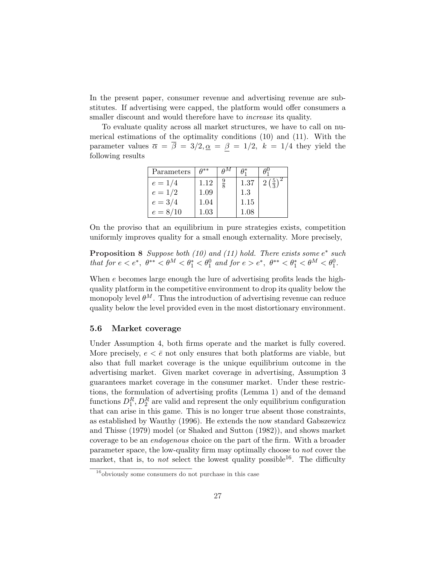In the present paper, consumer revenue and advertising revenue are substitutes. If advertising were capped, the platform would offer consumers a smaller discount and would therefore have to *increase* its quality.

To evaluate quality across all market structures, we have to call on numerical estimations of the optimality conditions (10) and (11). With the parameter values  $\bar{\alpha} = \bar{\beta} = 3/2, \alpha = \beta = 1/2, k = 1/4$  they yield the following results

| Parameters | $A^{**}$ |               |      |                               |
|------------|----------|---------------|------|-------------------------------|
| $e = 1/4$  | 1.12     | $\frac{9}{8}$ | 1.37 | $2\left(\frac{5}{3}\right)^2$ |
| $e = 1/2$  | 1.09     |               | 1.3  |                               |
| $e = 3/4$  | 1.04     |               | 1.15 |                               |
| $e = 8/10$ | 1.03     |               | 1.08 |                               |

On the proviso that an equilibrium in pure strategies exists, competition uniformly improves quality for a small enough externality. More precisely,

# **Proposition 8** Suppose both  $(10)$  and  $(11)$  hold. There exists some  $e^*$  such that for  $e < e^*$ ,  $\theta^{**} < \theta^M < \theta_1^* < \theta_1^0$  and for  $e > e^*$ ,  $\theta^{**} < \theta_1^* < \theta^M < \theta_1^0$ .

When e becomes large enough the lure of advertising profits leads the highquality platform in the competitive environment to drop its quality below the monopoly level  $\theta^M$ . Thus the introduction of advertising revenue can reduce quality below the level provided even in the most distortionary environment.

# 5.6 Market coverage

Under Assumption 4, both firms operate and the market is fully covered. More precisely,  $e < \bar{e}$  not only ensures that both platforms are viable, but also that full market coverage is the unique equilibrium outcome in the advertising market. Given market coverage in advertising, Assumption 3 guarantees market coverage in the consumer market. Under these restrictions, the formulation of advertising profits (Lemma 1) and of the demand functions  $D_1^R, D_2^R$  are valid and represent the only equilibrium configuration that can arise in this game. This is no longer true absent those constraints, as established by Wauthy (1996). He extends the now standard Gabszewicz and Thisse (1979) model (or Shaked and Sutton (1982)), and shows market coverage to be an endogenous choice on the part of the firm. With a broader parameter space, the low-quality firm may optimally choose to not cover the market, that is, to *not* select the lowest quality possible<sup>16</sup>. The difficulty

 $16$ obviously some consumers do not purchase in this case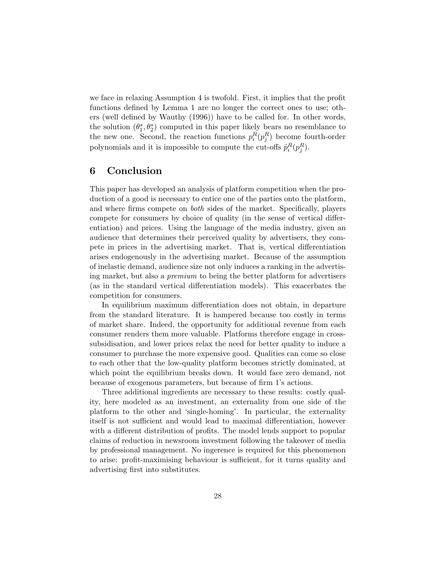we face in relaxing Assumption 4 is twofold. First, it implies that the profit functions defined by Lemma 1 are no longer the correct ones to use; others (well defined by Wauthy (1996)) have to be called for. In other words, the solution  $(\theta_1^*, \theta_2^*)$  computed in this paper likely bears no resemblance to the new one. Second, the reaction functions  $p_i^R(p_j^R)$  become fourth-order polynomials and it is impossible to compute the cut-offs  $\hat{p}_i^R(p_j^R)$ .

# 6 Conclusion

This paper has developed an analysis of platform competition when the production of a good is necessary to entice one of the parties onto the platform, and where firms compete on both sides of the market. Specifically, players compete for consumers by choice of quality (in the sense of vertical differentiation) and prices. Using the language of the media industry, given an audience that determines their perceived quality by advertisers, they compete in prices in the advertising market. That is, vertical differentiation arises endogenously in the advertising market. Because of the assumption of inelastic demand, audience size not only induces a ranking in the advertising market, but also a premium to being the better platform for advertisers (as in the standard vertical differentiation models). This exacerbates the competition for consumers.

In equilibrium maximum differentiation does not obtain, in departure from the standard literature. It is hampered because too costly in terms of market share. Indeed, the opportunity for additional revenue from each consumer renders them more valuable. Platforms therefore engage in crosssubsidisation, and lower prices relax the need for better quality to induce a consumer to purchase the more expensive good. Qualities can come so close to each other that the low-quality platform becomes strictly dominated, at which point the equilibrium breaks down. It would face zero demand, not because of exogenous parameters, but because of firm 1's actions.

Three additional ingredients are necessary to these results: costly quality, here modeled as an investment, an externality from one side of the platform to the other and 'single-homing'. In particular, the externality itself is not sufficient and would lead to maximal differentiation, however with a different distribution of profits. The model lends support to popular claims of reduction in newsroom investment following the takeover of media by professional management. No ingerence is required for this phenomenon to arise: profit-maximising behaviour is sufficient, for it turns quality and advertising first into substitutes.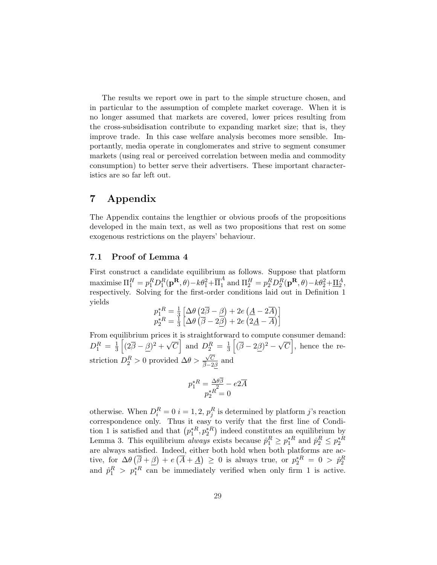The results we report owe in part to the simple structure chosen, and in particular to the assumption of complete market coverage. When it is no longer assumed that markets are covered, lower prices resulting from the cross-subsidisation contribute to expanding market size; that is, they improve trade. In this case welfare analysis becomes more sensible. Importantly, media operate in conglomerates and strive to segment consumer markets (using real or perceived correlation between media and commodity consumption) to better serve their advertisers. These important characteristics are so far left out.

# 7 Appendix

The Appendix contains the lengthier or obvious proofs of the propositions developed in the main text, as well as two propositions that rest on some exogenous restrictions on the players' behaviour.

# 7.1 Proof of Lemma 4

First construct a candidate equilibrium as follows. Suppose that platform maximise  $\Pi_1^H = p_1^R D_1^R(\mathbf{p^R},\theta) - k\theta_1^2 + \overline{\Pi}_1^A$  and  $\Pi_2^H = p_2^R D_2^R(\mathbf{p^R},\theta) - k\theta_2^2 + \underline{\Pi}_2^A$ , respectively. Solving for the first-order conditions laid out in Definition 1 yields £ ¡ ¢ ¡  $\overline{a}$ 

$$
p_1^{*R} = \frac{1}{3} \left[ \Delta \theta \left( 2\overline{\beta} - \underline{\beta} \right) + 2e \left( \underline{A} - 2\overline{A} \right) \right]
$$
  

$$
p_2^{*R} = \frac{1}{3} \left[ \Delta \theta \left( \overline{\beta} - 2\underline{\beta} \right) + 2e \left( 2\underline{A} - \overline{A} \right) \right]
$$

From equilibrium prices it is straightforward to compute consumer demand:  $D_1^R = \frac{1}{3}$  $\frac{1}{3}\left[(2\overline{\beta}-\underline{\beta})^2+\sqrt{\alpha}\right]$  $\overline{C}$  and  $D_2^R = \frac{1}{3}$ and to compute the set of  $\frac{1}{3} \left[ (\overline{\beta} - 2\underline{\beta})^2 - \sqrt{\beta} \right]$  $|C|$ , hence the restriction  $D_2^R > 0$  provided  $\Delta\theta >$ √ C  $\frac{\sqrt{C}}{\beta-2\beta}$  and

$$
p_1^{\ast R}=\frac{\Delta\theta\overline{\beta}}{p_2^{\ast R}}-e2\overline{A}\\ p_2^{\ast R}=0
$$

otherwise. When  $D_i^R = 0$  i = 1, 2,  $p_j^R$  is determined by platform j's reaction correspondence only. Thus it easy to verify that the first line of Condicorrespondence only. Thus it easy to verify that the first line of Condition 1 is satisfied and that  $(p_1^{*R}, p_2^{*R})$  indeed constitutes an equilibrium by Lemma 3. This equilibrium *always* exists because  $\hat{p}_1^R \ge p_1^{*R}$  and  $\hat{p}_2^R \le p_2^{*R}$ are always satisfied. Indeed, either both hold when both platforms are active, for  $\Delta\theta\left(\overline{\beta}+\underline{\beta}\right)+e\left(\overline{A}+\underline{A}\right) \geq 0$  is always true, or  $p_2^{*R} = 0 > \hat{p}_2^R$ and  $\hat{p}_1^R > p_1^{*R}$  can be immediately verified when only firm 1 is active.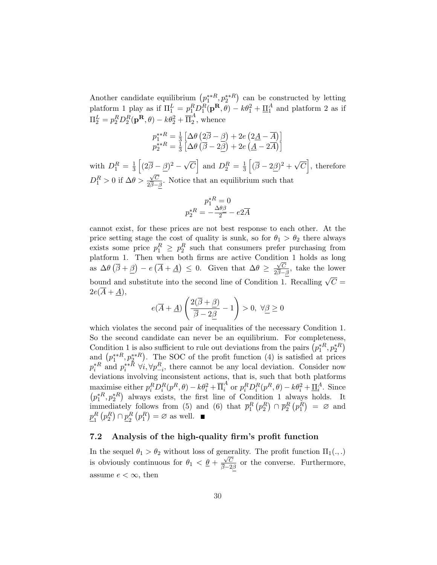Another candidate equilibrium  $(p_1^{**R}, p_2^{**R})$ ¢ can be constructed by letting platform 1 play as if  $\Pi_1^L = p_1^R D_1^R(\mathbf{p}^R, \theta) - k\theta_1^2 + \underline{\Pi}_1^A$  and platform 2 as if  $\Pi_2^L = p_2^R D_2^R (\mathbf{p^R},\theta) - k \theta_2^2 + \overline{\Pi}_2^A$  $i_2^A$ , whence

$$
p_1^{**R} = \frac{1}{3} \left[ \Delta \theta \left( 2\overline{\beta} - \underline{\beta} \right) + 2e \left( 2\underline{A} - \overline{A} \right) \right]
$$
  

$$
p_2^{**R} = \frac{1}{3} \left[ \Delta \theta \left( \overline{\beta} - 2\underline{\beta} \right) + 2e \left( \underline{A} - 2\overline{A} \right) \right]
$$

with  $D_1^R = \frac{1}{3}$ 3 h  $(2\overline{\beta} - \beta)^2 - \sqrt{ }$  $\overline{C}$ i and  $D_2^R = \frac{1}{3}$ 3 h  $(\overline{\beta} - 2\beta)^2 + \sqrt{\alpha}$  $\mathcal{C}_{0}^{(n)}$ i , therefore  $D_1^R > 0$  if  $\Delta \theta > \frac{\sqrt{C}}{2\overline{B}-1}$ √  $\frac{\sqrt{C}}{2\beta-\beta}$ . Notice that an equilibrium such that

$$
p_1^{*R} = 0
$$
  

$$
p_2^{*R} = -\frac{\Delta\theta \beta}{2} - e^{2\overline{A}}
$$

cannot exist, for these prices are not best response to each other. At the price setting stage the cost of quality is sunk, so for  $\theta_1 > \theta_2$  there always exists some price  $p_1^R \geq p_2^R$  such that consumers prefer purchasing from platform 1. Then when both firms are active Condition 1 holds as long as  $\Delta\theta\left(\overline{\beta}+\beta\right)-e\left(\overline{A}+\underline{A}\right)\leq 0$ . Given that  $\Delta\theta \geq \frac{\sqrt{C}}{2\sqrt{D}}$  $\frac{\sqrt{C}}{2\overline{\beta}-\beta}$ , take the lower bound and substitute into the second line of Condition 1. Recalling  $\sqrt{C} =$  $2e(\overline{A} + \underline{A}),$  $\overline{\phantom{a}}$ !<br>}

$$
e(\overline{A} + \underline{A})\left(\frac{2(\overline{\beta} + \underline{\beta})}{\overline{\beta} - 2\underline{\beta}} - 1\right) > 0, \ \forall \underline{\beta} \ge 0
$$

which violates the second pair of inequalities of the necessary Condition 1. So the second candidate can never be an equilibrium. For completeness, So the second candidate can never be an equilibrium. For completeness<br>Condition 1 is also sufficient to rule out deviations from the pairs  $(p_1^{*R}, p_2^{*R})$ <br>and  $(p_1^{**R}, p_2^{**R})$ . The SOC of the profit function (4) is sat µ<br>∖ . The SOC of the profit function (4) is satisfied at prices  $p_i^{*R}$  and  $p_i^{**R}$   $\forall i, \forall p_{-i}^R$ , there cannot be any local deviation. Consider now deviations involving inconsistent actions, that is, such that both platforms maximise either  $p_i^R D_i^R(p^R, \theta) - k\theta_i^2 + \overline{\Pi}_i^A$  or  $p_i^R D_i^R(p^R, \theta) - k\theta_i^2 + \underline{\Pi}_i^A$ . Since  $p_1^{*R}, p_2^{*R}$ ¢ always exists, the first line of Condition 1 always holds. It immediately follows from (5) and (6) that  $\bar{p}_1^R(p_2^R) \cap \bar{p}_2^R(p_1^R) = \emptyset$  and  $p_+^R$  $_1^R(p_2^R)\cap p_2^R$  $_{2}^{R}(p_{1}^{R}) = \varnothing$  as well.

# 7.2 Analysis of the high-quality firm's profit function

In the sequel  $\theta_1 > \theta_2$  without loss of generality. The profit function  $\Pi_1(.,.)$ is obviously continuous for  $\theta_1 < \frac{\theta}{4} + \frac{\sqrt{C}}{2}$  $\frac{\sqrt{C}}{\beta-2\beta}$  or the converse. Furthermore, assume  $e < \infty$ , then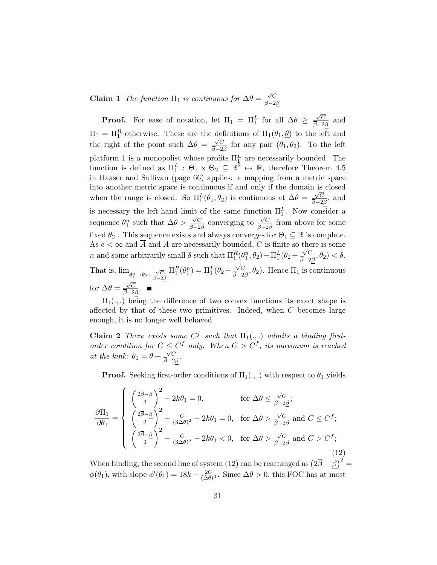Claim 1 The function  $\Pi_1$  is continuous for  $\Delta\theta = \frac{\sqrt{C}}{\sqrt{2}}$ √  $\beta-2\beta$ 

**Proof.** For ease of notation, let  $\Pi_1 = \Pi_1^L$  for all  $\Delta \theta \geq$  $\sqrt{C}$  $\frac{\sqrt{C}}{\beta-2\beta}$  and  $\Pi_1 = \Pi_1^R$  otherwise. These are the definitions of  $\Pi_1(\theta_1, \underline{\theta})$  to the left and the right of the point such  $\Delta\theta = \frac{\sqrt{C}}{2}$  $\frac{\sqrt{C}}{\beta-2\beta}$  for any pair  $(\theta_1, \theta_2)$ . To the left platform 1 is a monopolist whose profits  $\Pi_1^L$  are necessarily bounded. The function is defined as  $\Pi_1^L$ :  $\Theta_1 \times \Theta_2 \subseteq \mathbb{R}^2 \mapsto \mathbb{R}$ , therefore Theorem 4.5 in Haaser and Sullivan (page 66) applies: a mapping from a metric space into another metric space is continuous if and only if the domain is closed when the range is closed. So  $\Pi_1^L(\theta_1, \theta_2)$  is continuous at  $\Delta \theta = \frac{\sqrt{C}}{\bar{\beta}-2}$  $\frac{\sqrt{C}}{\beta-2\beta}$ , and is necessary the left-hand limit of the same function  $\Pi_1^L$ . Now consider a sequence  $\theta_1^n$  such that  $\Delta\theta$  >  $\sqrt{C}$  $\frac{\sqrt{C}}{\overline{\beta}-2\beta}$  converging to  $\sqrt{C}$  $\frac{\sqrt{C}}{\beta-2\beta}$  from above for some fixed  $\theta_2$ . This sequence exists and always converges for  $\Theta_1 \subseteq \mathbb{R}$  is complete. As  $e < \infty$  and  $\overline{A}$  and  $\underline{A}$  are necessarily bounded, C is finite so there is some *n* and some arbitrarily small  $\delta$  such that  $\Pi_1^R(\theta_1^n, \theta_2) - \Pi_1^L(\theta_2 + \frac{\sqrt{C}}{\beta - 2})$  $\frac{\sqrt{C}}{\overline{\beta}-2\beta},\theta_2) < \delta.$ That is,  $\lim_{\theta_1^n \to \theta_2 + \frac{\sqrt{C}}{\beta - 2\beta}}$  $\Pi_1^R(\theta_1^n) = \Pi_1^L(\theta_2 +$  $\sqrt{C}$  $\frac{\sqrt{C}}{\beta-2\beta}$ ,  $\theta_2$ ). Hence  $\Pi_1$  is continuous for  $\Delta\theta = \frac{\sqrt{C}}{2}$ √  $\frac{\sqrt{C}}{\overline{\beta}-2\beta}$ .

 $\Pi_1(.,.)$  being the difference of two convex functions its exact shape is affected by that of these two primitives. Indeed, when  $C$  becomes large enough, it is no longer well behaved.

Claim 2 There exists some  $C^f$  such that  $\Pi_1(.,.)$  admits a binding firstorder condition for  $C \leq C^f$  only. When  $C > C^f$ , its maximum is reached at the kink:  $\theta_1 = \underline{\theta} + \frac{\sqrt{C}}{2}$  $\frac{\sqrt{C}}{\overline{\beta}-2\beta}$  .

**Proof.** Seeking first-order conditions of  $\Pi_1(.,.)$  with respect to  $\theta_1$  yields

$$
\frac{\partial \Pi_1}{\partial \theta_1} = \begin{cases}\n\left(\frac{2\overline{\beta}-\beta}{3}\right)^2 - 2k\theta_1 = 0, & \text{for } \Delta\theta \le \frac{\sqrt{C}}{\overline{\beta}-2\underline{\beta}}; \\
\left(\frac{2\overline{\beta}-\beta}{3}\right)^2 - \frac{C}{(3\Delta\theta)^2} - 2k\theta_1 = 0, & \text{for } \Delta\theta > \frac{\sqrt{C}}{\overline{\beta}-2\underline{\beta}} \text{ and } C \le C^f; \\
\left(\frac{2\overline{\beta}-\beta}{3}\right)^2 - \frac{C}{(3\Delta\theta)^2} - 2k\theta_1 < 0, & \text{for } \Delta\theta > \frac{\sqrt{C}}{\overline{\beta}-2\underline{\beta}} \text{ and } C > C^f;\n\end{cases}
$$
\n(12)

When binding, the second line of system (12) can be rearranged as  $(2\overline{\beta} - \beta)^2 =$  $\phi(\theta_1)$ , with slope  $\phi'(\theta_1) = 18k - \frac{2C}{(\Delta \theta)}$  $\frac{2C}{(\Delta\theta)^3}$ . Since  $\Delta\theta > 0$ , this FOC has at most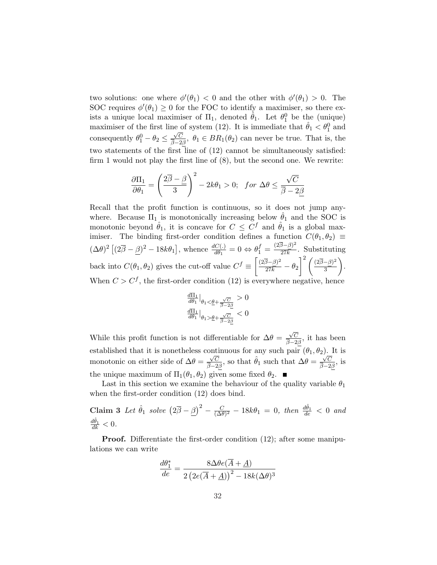two solutions: one where  $\phi'(\theta_1) < 0$  and the other with  $\phi'(\theta_1) > 0$ . The SOC requires  $\phi'(\theta_1) \geq 0$  for the FOC to identify a maximiser, so there exists a unique local maximiser of  $\Pi_1$ , denoted  $\hat{\theta}_1$ . Let  $\theta_1^0$  be the (unique) maximiser of the first line of system (12). It is immediate that  $\hat{\theta}_1 < \theta_1^0$  and consequently  $\theta_1^0 - \theta_2 \leq \frac{\sqrt{C}}{\overline{B}-2}$  $\frac{\sqrt{C}}{\beta-2\beta}$ ,  $\theta_1 \in BR_1(\theta_2)$  can never be true. That is, the two statements of the first line of (12) cannot be simultaneously satisfied: firm 1 would not play the first line of (8), but the second one. We rewrite:

$$
\frac{\partial \Pi_1}{\partial \theta_1} = \left(\frac{2\overline{\beta} - \underline{\beta}}{3}\right)^2 - 2k\theta_1 > 0; \text{ for } \Delta\theta \le \frac{\sqrt{C}}{\overline{\beta} - 2\underline{\beta}}
$$

Recall that the profit function is continuous, so it does not jump anywhere. Because  $\Pi_1$  is monotonically increasing below  $\hat{\theta}_1$  and the SOC is monotonic beyond  $\hat{\theta}_1$ , it is concave for  $C \leq C^f$  and  $\hat{\theta}_1$  is a global maximiser. The binding first-order condition defines a function  $C(\theta_1, \theta_2) \equiv$  $(\Delta \theta)^2$  [  $(2\overline{\beta} - \underline{\beta})^2 - 18k\theta_1$ , whence  $\frac{dC(.)}{d\theta_1} = 0 \Leftrightarrow \theta_1^f = \frac{(2\overline{\beta} - \underline{\beta})^2}{27k}$  $\frac{27E}{27k}$ . Substituting back into  $C(\theta_1, \theta_2)$  gives the cut-off value  $C^f \equiv \left( \frac{(2\overline{\beta} - \beta)^2}{27k} - \theta_2 \right)$  $\frac{1}{5}$   $\frac{27k}{12}$   $\frac{32}{5}$   $\frac{1}{2}$  $\int_0^2 (2\overline{\beta}-\beta)^2$  $\frac{-\rho}{3}$ ). When  $C > C<sup>f</sup>$ , the first-order condition (12) is everywhere negative, hence

$$
\left.\frac{d\Pi_1}{d\theta_1}\right|_{\theta_1 < \underline{\theta} + \frac{\sqrt{C}}{\overline{\beta} - 2\underline{\beta}}} > 0
$$
  

$$
\left.\frac{d\Pi_1}{d\theta_1}\right|_{\theta_1 > \underline{\theta} + \frac{\sqrt{C}}{\overline{\beta} - 2\underline{\beta}}} < 0
$$

While this profit function is not differentiable for  $\Delta\theta =$  $\sqrt{C}$  $\frac{\sqrt{C}}{\overline{\beta}-2\beta}$ , it has been established that it is nonetheless continuous for any such pair  $(\theta_1, \theta_2)$ . It is monotonic on either side of  $\Delta\theta = \frac{\sqrt{C}}{2}$  $\frac{\sqrt{C}}{\beta-2\beta}$ , so that  $\hat{\theta}_1$  such that  $\Delta\theta = \frac{\sqrt{C}}{\beta-2}$  $\frac{\sqrt{C}}{\beta-2\beta}$ , is the unique maximum of  $\Pi_1(\theta_1, \theta_2)$  given some fixed  $\theta_2$ .

Last in this section we examine the behaviour of the quality variable  $\theta_1$ when the first-order condition (12) does bind.

Claim 3 Let  $\hat{\theta}_1$  solve  $(2\overline{\beta} - \beta)^2 - \frac{C}{(\Delta \theta)}$  $\frac{C}{(\Delta \theta)^2} - 18k\theta_1 = 0$ , then  $\frac{d\hat{\theta}_1}{de} < 0$  and  $\frac{d\hat{\theta}_1}{dk} < 0.$ 

**Proof.** Differentiate the first-order condition (12); after some manipulations we can write

$$
\frac{d\theta_1^*}{de} = \frac{8\Delta\theta e(\overline{A} + \underline{A})}{2\left(2e(\overline{A} + \underline{A})\right)^2 - 18k(\Delta\theta)^3}
$$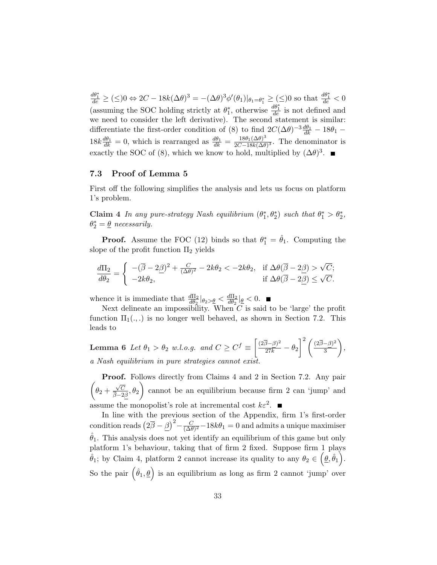$\frac{d\theta_1^*}{de} \geq (\leq) 0 \Leftrightarrow 2C - 18k(\Delta\theta)^3 = -(\Delta\theta)^3 \phi'(\theta_1)|_{\theta_1 = \theta_1^*} \geq (\leq) 0$  so that  $\frac{d\theta_1^*}{de} < 0$ (assuming the SOC holding strictly at  $\theta_1^*$ , otherwise  $\frac{d\theta_1^*}{de}$  is not defined and we need to consider the left derivative). The second statement is similar: differentiate the first-order condition of (8) to find  $2C(\Delta\theta)^{-3}\frac{d\theta_1}{dk} - 18\theta_1 18k \frac{d\theta_1}{dk} = 0$ , which is rearranged as  $\frac{d\theta_1}{dk} = \frac{18\theta_1(\Delta\theta)^3}{2C-18k(\Delta\theta)}$  $\frac{18\theta_1(\Delta\theta)^{\circ}}{2C-18k(\Delta\theta)^3}$ . The denominator is exactly the SOC of (8), which we know to hold, multiplied by  $(\Delta \theta)^3$ .

## 7.3 Proof of Lemma 5

First off the following simplifies the analysis and lets us focus on platform 1's problem.

Claim 4 In any pure-strategy Nash equilibrium  $(\theta_1^*, \theta_2^*)$  such that  $\theta_1^* > \theta_2^*$ ,  $\theta_2^* = \underline{\theta}$  necessarily.

**Proof.** Assume the FOC (12) binds so that  $\theta_1^* = \hat{\theta}_1$ . Computing the slope of the profit function  $\Pi_2$  yields

$$
\frac{d\Pi_2}{d\theta_2} = \begin{cases}\n-(\overline{\beta} - 2\underline{\beta})^2 + \frac{C}{(\Delta\theta)^2} - 2k\theta_2 < -2k\theta_2, \text{ if } \Delta\theta(\overline{\beta} - 2\underline{\beta}) > \sqrt{C}; \\
-2k\theta_2, & \text{ if } \Delta\theta(\overline{\beta} - 2\underline{\beta}) \le \sqrt{C}.\n\end{cases}
$$

whence it is immediate that  $\frac{d\Pi_2}{d\theta_2}|_{\theta_2 > \underline{\theta}} < \frac{d\Pi_2}{d\theta_2}$  $\frac{d\Pi_2}{d\theta_2}|_{\underline{\theta}} < 0.$ 

Next delineate an impossibility. When  $C$  is said to be 'large' the profit function  $\Pi_1(.,.)$  is no longer well behaved, as shown in Section 7.2. This leads to

**Lemma 6** Let  $\theta_1 > \theta_2$  w.l.o.g. and  $C \geq C^f \equiv$ ·  $\frac{(2\overline{\beta}-\beta)^2}{27k}-\theta_2$  $\int_0^2 (2\overline{\beta}-\beta)^2$ 3  $\mathbf{r}$ , a Nash equilibrium in pure strategies cannot exist.

 $\overline{a}$ Proof. Follows directly from Claims 4 and 2 in Section 7.2. Any pair  $\theta_2 +$  $\sqrt{C}$  $\left(\frac{\sqrt{C}}{\beta-2\beta}, \theta_2\right)$  cannot be an equilibrium because firm 2 can 'jump' and assume the monopolist's role at incremental cost  $k\varepsilon^2$ .

In line with the previous section of the Appendix, firm 1's first-order condition reads  $(2\bar{\beta} - \beta)^2 - \frac{C}{(\Delta \theta)^2} - 18k\theta_1 = 0$  and admits a unique maximiser  $\frac{C}{(\Delta\theta)^2} - 18k\theta_1 = 0$  and admits a unique maximiser  $\hat{\theta}_1$ . This analysis does not yet identify an equilibrium of this game but only platform 1's behaviour, taking that of firm 2 fixed. Suppose firm 1 plays  $\hat{\theta}_1$ ; by Claim 4, platform 2 cannot increase its quality to any  $\theta_2 \in (\underline{\theta}, \hat{\theta}_1)$ . So the pair  $(\hat{\theta}_1, \underline{\theta})$  is an equilibrium as long as firm 2 cannot 'jump' over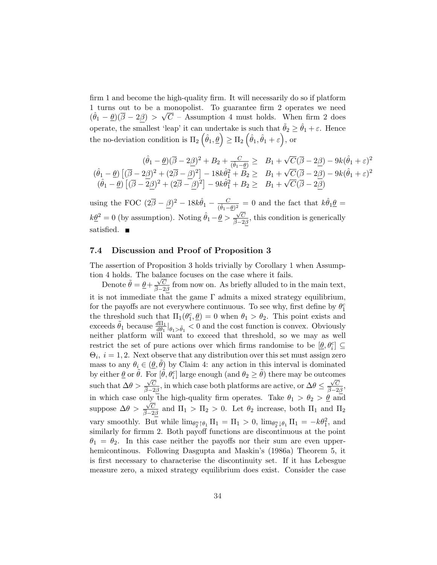firm 1 and become the high-quality firm. It will necessarily do so if platform 1 turns out to be a monopolist. To guarantee firm 2 operates we need  $(\hat{\theta}_1 - \underline{\theta})(\overline{\beta} - 2\beta) > \sqrt{C}$  – Assumption 4 must holds. When firm 2 does operate, the smallest 'leap' it can undertake is such that  $\tilde{\theta}_2 \ge \hat{\theta}_1 + \varepsilon$ . Hence operate, the smallest 'leap' it can undertake is such that  $\theta_2 \ge$ <br>the no-deviation condition is  $\Pi_2(\hat{\theta}_1, \underline{\theta}) \ge \Pi_2(\hat{\theta}_1, \hat{\theta}_1 + \varepsilon)$ , or

$$
(\hat{\theta}_1 - \underline{\theta})(\overline{\beta} - 2\underline{\beta})^2 + B_2 + \frac{C}{(\hat{\theta}_1 - \underline{\theta})} \geq B_1 + \sqrt{C}(\overline{\beta} - 2\underline{\beta}) - 9k(\hat{\theta}_1 + \varepsilon)^2
$$
  

$$
(\hat{\theta}_1 - \underline{\theta}) \left[ (\overline{\beta} - 2\underline{\beta})^2 + (2\overline{\beta} - \underline{\beta})^2 \right] - 18k\hat{\theta}_1^2 + B_2 \geq B_1 + \sqrt{C}(\overline{\beta} - 2\underline{\beta}) - 9k(\hat{\theta}_1 + \varepsilon)^2
$$
  

$$
(\hat{\theta}_1 - \underline{\theta}) \left[ (\overline{\beta} - 2\underline{\beta})^2 + (2\overline{\beta} - \underline{\beta})^2 \right] - 9k\hat{\theta}_1^2 + B_2 \geq B_1 + \sqrt{C}(\overline{\beta} - 2\underline{\beta})
$$

using the FOC  $(2\overline{\beta} - \underline{\beta})^2 - 18k\hat{\theta}_1 - \frac{C}{(\hat{\theta}_1 - \underline{\theta})^2} = 0$  and the fact that  $k\hat{\theta}_1 \underline{\theta} =$  $k\underline{\theta}^2 = 0$  (by assumption). Noting  $\hat{\theta}_1 - \underline{\theta} > \frac{\sqrt{C}}{\frac{2}{3}}$  $\frac{\sqrt{C}}{\beta-2\beta}$ , this condition is generically satisfied. ■

# 7.4 Discussion and Proof of Proposition 3

The assertion of Proposition 3 holds trivially by Corollary 1 when Assumption 4 holds. The balance focuses on the case where it fails.

Denote  $\tilde{\theta} = \underline{\theta} + \frac{\sqrt{C}}{2}$  $\frac{\sqrt{C}}{\beta-2\beta}$  from now on. As briefly alluded to in the main text, it is not immediate that the game  $\Gamma$  admits a mixed strategy equilibrium, for the payoffs are not everywhere continuous. To see why, first define by  $\theta_1^c$ the threshold such that  $\Pi_1(\theta_1^c, \underline{\theta}) = 0$  when  $\theta_1 > \theta_2$ . This point exists and exceeds  $\tilde{\theta}_1$  because  $\frac{d\Pi_1}{d\theta_1}\big|_{\theta_1>\tilde{\theta}_1}$  < 0 and the cost function is convex. Obviously neither platform will want to exceed that threshold, so we may as well restrict the set of pure actions over which firms randomise to be  $[\underline{\theta}, \theta_i^c] \subseteq$  $\Theta_i$ ,  $i = 1, 2$ . Next observe that any distribution over this set must assign zero mass to any  $\theta_i \in (\underline{\theta}, \tilde{\theta})$  by Claim 4: any action in this interval is dominated by either  $\underline{\theta}$  or  $\tilde{\theta}$ . For  $[\tilde{\theta}, \theta_i^c]$  large enough (and  $\theta_2 \ge \tilde{\theta}$ ) there may be outcomes such that  $\Delta\theta > \frac{\sqrt{C}}{2}$  $\frac{\sqrt{C}}{\beta-2\beta}$ , in which case both platforms are active, or  $\Delta\theta \leq \frac{\sqrt{C}}{\beta-2\beta}$  $\frac{\sqrt{C}}{\beta-2\beta}$ in which case only the high-quality firm operates. Take  $\theta_1 > \theta_2 > \underline{\theta}$  and suppose  $\Delta\theta$  > √ C  $\frac{\sqrt{C}}{\beta-2\beta}$  and  $\Pi_1 > \Pi_2 > 0$ . Let  $\theta_2$  increase, both  $\Pi_1$  and  $\Pi_2$ vary smoothly. But while  $\lim_{\theta_2^n \uparrow \theta_1} \Pi_1 = \Pi_1 > 0$ ,  $\lim_{\theta_2^n \downarrow \theta_1} \Pi_1 = -k\theta_1^2$ , and similarly for firmm 2. Both payoff functions are discontinuous at the point  $\theta_1 = \theta_2$ . In this case neither the payoffs nor their sum are even upperhemicontinous. Following Dasgupta and Maskin's (1986a) Theorem 5, it is first necessary to characterise the discontinuity set. If it has Lebesgue measure zero, a mixed strategy equilibrium does exist. Consider the case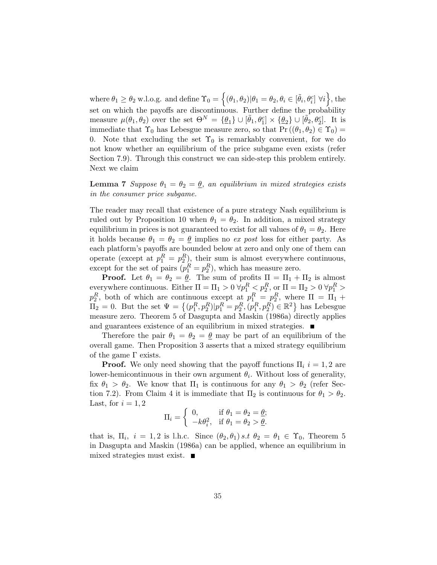where  $\theta_1 \ge \theta_2$  w.l.o.g. and define  $\Upsilon_0 =$ n  $(\theta_1, \theta_2) | \theta_1 = \theta_2, \theta_i \in [\tilde{\theta}_i, \theta_i^c]$   $\forall i$ o , the set on which the payoffs are discontinuous. Further define the probability measure  $\mu(\theta_1, \theta_2)$  over the set  $\Theta^N = {\underline{\theta_1}} \cup [\tilde{\theta_1}, \theta_1^c] \times {\underline{\theta_2}} \cup [\tilde{\theta_2}, \theta_2^c]$ . It is immediate that  $\Upsilon_0$  has Lebesgue measure zero, so that  $\Pr((\theta_1, \theta_2) \in \Upsilon_0)$ 0. Note that excluding the set  $\Upsilon_0$  is remarkably convenient, for we do not know whether an equilibrium of the price subgame even exists (refer Section 7.9). Through this construct we can side-step this problem entirely. Next we claim

**Lemma 7** Suppose  $\theta_1 = \theta_2 = \underline{\theta}$ , an equilibrium in mixed strategies exists in the consumer price subgame.

The reader may recall that existence of a pure strategy Nash equilibrium is ruled out by Proposition 10 when  $\theta_1 = \theta_2$ . In addition, a mixed strategy equilibrium in prices is not guaranteed to exist for all values of  $\theta_1 = \theta_2$ . Here it holds because  $\theta_1 = \theta_2 = \underline{\theta}$  implies no ex post loss for either party. As each platform's payoffs are bounded below at zero and only one of them can operate (except at  $p_1^R = p_2^R$ ), their sum is almost everywhere continuous, except for the set of pairs  $(p_1^R = p_2^R)$ , which has measure zero.

**Proof.** Let  $\theta_1 = \theta_2 = \underline{\theta}$ . The sum of profits  $\Pi = \Pi_1 + \Pi_2$  is almost everywhere continuous. Either  $\Pi = \Pi_1 > 0 \,\forall p_1^R \leq p_2^R$ , or  $\Pi = \Pi_2 > 0 \,\forall p_1^R >$  $p_2^R$ , both of which are continuous except at  $p_1^R = p_2^R$ , where  $\Pi = \Pi_1 + \Pi_2 = 0$ . But the set  $\Psi = \{(p_1^R, p_2^R) | p_1^R = p_2^R, (p_1^R, p_2^R) \in \mathbb{R}^2\}$  has Lebesgue has Lebesgue measure zero. Theorem 5 of Dasgupta and Maskin (1986a) directly applies and guarantees existence of an equilibrium in mixed strategies.  $\blacksquare$ 

Therefore the pair  $\theta_1 = \theta_2 = \underline{\theta}$  may be part of an equilibrium of the overall game. Then Proposition 3 asserts that a mixed strategy equilibrium of the game  $\Gamma$  exists.

**Proof.** We only need showing that the payoff functions  $\Pi_i$  i = 1, 2 are lower-hemicontinuous in their own argument  $\theta_i$ . Without loss of generality, fix  $\theta_1 > \theta_2$ . We know that  $\Pi_1$  is continuous for any  $\theta_1 > \theta_2$  (refer Section 7.2). From Claim 4 it is immediate that  $\Pi_2$  is continuous for  $\theta_1 > \theta_2$ . Last, for  $i = 1, 2$ ½

$$
\Pi_i = \begin{cases} 0, & \text{if } \theta_1 = \theta_2 = \underline{\theta}; \\ -k\theta_i^2, & \text{if } \theta_1 = \theta_2 > \underline{\theta}. \end{cases}
$$

that is,  $\Pi_i$ ,  $i = 1, 2$  is l.h.c. Since  $(\theta_2, \theta_1)$  s.t  $\theta_2 = \theta_1 \in \Upsilon_0$ , Theorem 5 in Dasgupta and Maskin (1986a) can be applied, whence an equilibrium in mixed strategies must exist.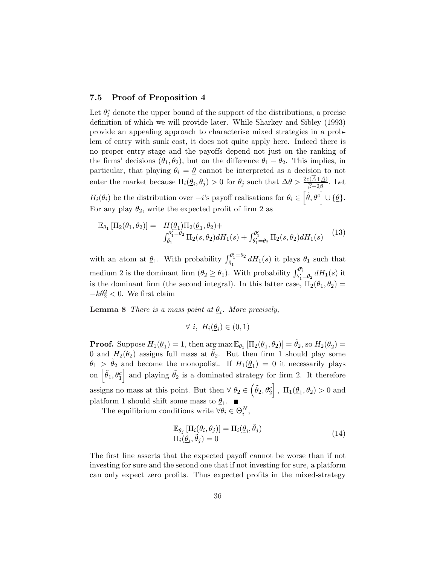## 7.5 Proof of Proposition 4

Let  $\theta_i^c$  denote the upper bound of the support of the distributions, a precise definition of which we will provide later. While Sharkey and Sibley (1993) provide an appealing approach to characterise mixed strategies in a problem of entry with sunk cost, it does not quite apply here. Indeed there is no proper entry stage and the payoffs depend not just on the ranking of the firms' decisions  $(\theta_1, \theta_2)$ , but on the difference  $\theta_1 - \theta_2$ . This implies, in particular, that playing  $\theta_i = \underline{\theta}$  cannot be interpreted as a decision to not enter the market because  $\Pi_i(\underline{\theta}_i, \theta_j) > 0$  for  $\theta_j$  such that  $\Delta \theta > \frac{2e(\overline{A} + \underline{A})}{\overline{\beta} - 2\beta}$ . Let  $H_i(\theta_i)$  be the distribution over  $-i$ 's payoff realisations for  $\theta_i \in \left[\tilde{\theta}, \theta^c\right] \cup \{\underline{\theta}\}.$  $\beta - 2\beta$ For any play  $\theta_2$ , write the expected profit of firm 2 as

$$
\mathbb{E}_{\theta_1} \left[ \Pi_2(\theta_1, \theta_2) \right] = H(\underline{\theta}_1) \Pi_2(\underline{\theta}_1, \theta_2) +
$$
  

$$
\int_{\tilde{\theta}_1}^{\theta_1' = \theta_2} \Pi_2(s, \theta_2) dH_1(s) + \int_{\theta_1' = \theta_2}^{\theta_2'} \Pi_2(s, \theta_2) dH_1(s)
$$
(13)

with an atom at  $\underline{\theta}_1$ . With probability  $\int_{\tilde{\theta}_1}^{\theta'_1=\theta_2}$  $\frac{\partial u_1 - \partial v_2}{\partial t_1} dH_1(s)$  it plays  $\theta_1$  such that medium 2 is the dominant firm  $(\theta_2 \ge \theta_1)$ . With probability  $\int_{\theta'_1 = \theta_2}^{\theta_1^c} dH_1(s)$  it is the dominant firm (the second integral). In this latter case,  $\Pi_2(\theta_1, \theta_2)$  $-k\theta_2^2 < 0$ . We first claim

**Lemma 8** There is a mass point at  $\underline{\theta}_i$ . More precisely,

$$
\forall i, H_i(\underline{\theta}_i) \in (0,1)
$$

**Proof.** Suppose  $H_1(\underline{\theta}_1) = 1$ , then  $\arg \max \mathbb{E}_{\theta_1} [\Pi_2(\underline{\theta}_1, \theta_2)] = \tilde{\theta}_2$ , so  $H_2(\underline{\theta}_2) =$ 0 and  $H_2(\theta_2)$  assigns full mass at  $\tilde{\theta}_2$ . But then firm 1 should play some  $\theta_1 > \tilde{\theta}_2$  and become the monopolist. If  $H_1(\underline{\theta}_1) = 0$  it necessarily plays  $\theta_1 > \theta_2$  and become the monopolist. If  $H_1(\underline{\theta}_1) = 0$  it necessarily plays<br>on  $\left[\tilde{\theta}_1, \theta_1^c\right]$  and playing  $\tilde{\theta}_2$  is a dominated strategy for firm 2. It therefore assigns no mass at this point. But then  $\forall \theta_2 \in (\tilde{\theta}_2, \theta_2^c], \Pi_1(\underline{\theta}_1, \theta_2) > 0$  and platform 1 should shift some mass to  $\underline{\theta}_1$ .

The equilibrium conditions write  $\forall \theta_i \in \Theta_i^N$ ,

$$
\mathbb{E}_{\theta_j} [\Pi_i(\theta_i, \theta_j)] = \Pi_i(\underline{\theta}_i, \tilde{\theta}_j)
$$
  
\n
$$
\Pi_i(\underline{\theta}_i, \tilde{\theta}_j) = 0
$$
\n(14)

The first line asserts that the expected payoff cannot be worse than if not investing for sure and the second one that if not investing for sure, a platform can only expect zero profits. Thus expected profits in the mixed-strategy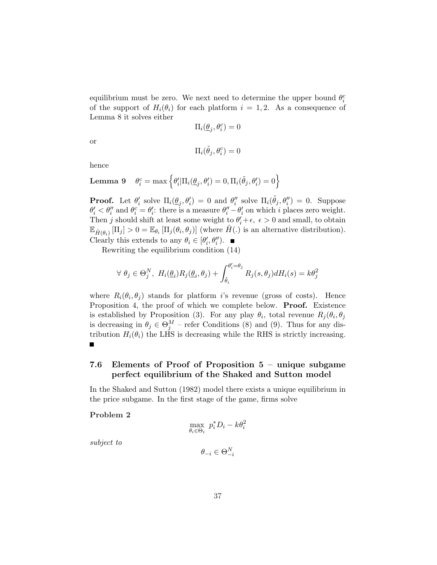equilibrium must be zero. We next need to determine the upper bound  $\theta_i^c$ of the support of  $H_i(\theta_i)$  for each platform  $i = 1, 2$ . As a consequence of Lemma 8 it solves either

$$
\Pi_i(\underline{\theta}_j, \theta_i^c) = 0
$$

or

$$
\Pi_i(\tilde{\theta}_j, \theta_i^c) = 0
$$

hence

**Lemma 9** 
$$
\theta_i^c = \max \left\{ \theta_i' | \Pi_i(\underline{\theta}_j, \theta_i') = 0, \Pi_i(\tilde{\theta}_j, \theta_i') = 0 \right\}
$$

**Proof.** Let  $\theta'_i$  solve  $\Pi_i(\underline{\theta}_j, \theta'_i) = 0$  and  $\theta''_i$  solve  $\Pi_i(\tilde{\theta}_j, \theta''_i) = 0$ . Suppose  $\theta_i' < \theta_i''$  and  $\theta_i^c = \theta_i'$ : there is a measure  $\theta_i'' - \theta_i'$  on which i places zero weight. Then j should shift at least some weight to  $\theta'_i + \epsilon$ ,  $\epsilon > 0$  and small, to obtain  $\mathbb{E}_{\hat{H}(\theta_i)}[\Pi_j] > 0 = \mathbb{E}_{\theta_i}[\Pi_j(\theta_i, \theta_j)]$  (where  $\hat{H}(\cdot)$  is an alternative distribution). Clearly this extends to any  $\theta_i \in [\theta'_i, \theta''_i)$ .

Rewriting the equilibrium condition (14)

$$
\forall \ \theta_j \in \Theta_j^N, \ H_i(\underline{\theta}_i) R_j(\underline{\theta}_i, \theta_j) + \int_{\tilde{\theta}_i}^{\theta'_i = \theta_j} R_j(s, \theta_j) dH_i(s) = k\theta_j^2
$$

where  $R_i(\theta_i, \theta_j)$  stands for platform *i*'s revenue (gross of costs). Hence Proposition 4, the proof of which we complete below. **Proof.** Existence is established by Proposition (3). For any play  $\theta_i$ , total revenue  $R_j(\theta_i, \theta_j)$ is decreasing in  $\theta_j \in \Theta_j^M$  – refer Conditions (8) and (9). Thus for any distribution  $H_i(\theta_i)$  the LHS is decreasing while the RHS is strictly increasing.

# 7.6 Elements of Proof of Proposition 5 – unique subgame perfect equilibrium of the Shaked and Sutton model

In the Shaked and Sutton (1982) model there exists a unique equilibrium in the price subgame. In the first stage of the game, firms solve

## Problem 2

$$
\max_{\theta_i \in \Theta_i} \ p_i^* D_i - k \theta_i^2
$$

subject to

$$
\theta_{-i} \in \Theta^N_{-i}
$$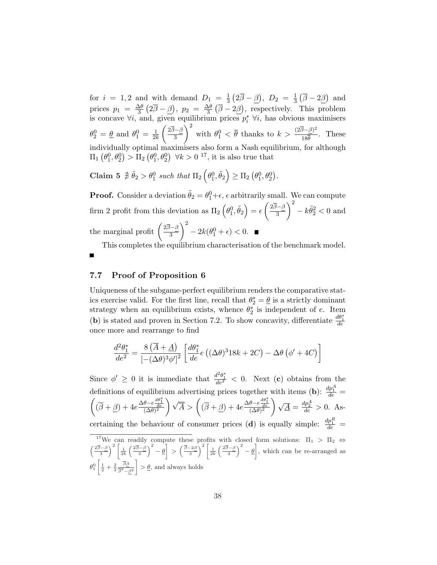for  $i = 1, 2$  and with demand  $D_1 = \frac{1}{3}$ 3 ¡  $2\overline{\beta}-\beta$ ¢ ,  $D_2 = \frac{1}{3}$ 3 ¡  $\overline{\beta}-2\beta$ ¢ and prices  $p_1 = \frac{\Delta\theta}{3}$ 3 ¡  $2\beta-\beta$ µ<br>∖  $, p_2 = \frac{\Delta \theta}{3}$ 3 ¡  $\beta-2\beta$ ¢ , respectively. This problem is concave  $\forall i$ , and, given equilibrium prices  $p_i^*$   $\forall i$ , has obvious maximisers  $\theta_2^0 = \underline{\theta}$  and  $\theta_1^0 = \frac{1}{2l}$  $\overline{2k}$  $2\overline{\beta}-\beta$  $\frac{\partial^2 \vec{B}}{\partial \vec{B}} \left( \vec{B} \right)^2$  with  $\theta_1^0 < \bar{\theta}$  thanks to  $k > \frac{(2\bar{\beta} - \beta)^2}{18\bar{\theta}}$  $\frac{\partial^2 P}{\partial \overline{\theta}}$ . These individually optimal maximisers also form a Nash equilibrium, for although  $\Pi_1$ ¡  $\theta_1^0, \theta_2^0$  $\frac{1}{\sqrt{2}}$  $> \Pi_2$ ¡  $\theta_1^0, \theta_2^0$ a<br>`  $\forall k > 0$ <sup>17</sup>, it is also true that

Claim 5  $\ddot{\hat{\theta}}_2 > \theta_1^0$  such that  $\Pi_2$  $\overline{a}$  $\theta_1^0, \tilde \theta_2$ ´  $\geq \Pi_2$ ¡  $\theta_1^0, \theta_2^0$ ¢ .

**Proof.** Consider a deviation  $\tilde{\theta}_2 = \theta_1^0 + \epsilon$ ,  $\epsilon$  arbitrarily small. We can compute firm 2 profit from this deviation as  $\Pi_2$  $\frac{1}{2}$  $\theta_1^0, \tilde \theta_2$ ´  $= \epsilon$  $^{\prime}$ . 2β−β 3  $\frac{1}{2}$  $-k\tilde{\theta}_2^2 < 0$  and the marginal profit  $\left(\frac{2\overline{\beta}-\beta}{3}\right)$  $\frac{1-\beta}{3}$   $-2k(\theta_1^0+\epsilon)<0.$  $\sqrt{2}$ 

This completes the equilibrium characterisation of the benchmark model.

#### 7.7 Proof of Proposition 6

п

Uniqueness of the subgame-perfect equilibrium renders the comparative statics exercise valid. For the first line, recall that  $\theta_2^* = \underline{\theta}$  is a strictly dominant strategy when an equilibrium exists, whence  $\theta_2^*$  is independent of e. Item (**b**) is stated and proven in Section 7.2. To show concavity, differentiate  $\frac{d\theta_1^*}{de}$ once more and rearrange to find

$$
\frac{d^2\theta_1^*}{de^2} = \frac{8(\overline{A} + \underline{A})}{\left[-(\Delta\theta)^3\phi'\right]^2} \left[\frac{d\theta_1^*}{de}e\left((\Delta\theta)^3 18k + 2C\right) - \Delta\theta\left(\phi' + 4C\right)\right]
$$

Since  $\phi' \geq 0$  it is immediate that  $\frac{d^2\theta_1^*}{de^2} < 0$ . Next (c) obtains from the definitions of equilibrium advertising prices together with items (**b**):  $\frac{dp_1^A}{de}$  =  $\left(\overline{\beta} + \underline{\beta}\right) + 4e^{\frac{\Delta\theta - e^{\frac{d\theta_1^*}{de}}}{\left(\Delta\theta\right)^2}}$ and  $\sqrt{\overline{A}} > (\overline{\overline{B}} + \underline{\beta}) + 4e \frac{\Delta \theta - e \frac{d\theta_1^*}{\overline{A}}}{(\Delta \theta)^2}$ √  $\overline{\underline{A}} = \frac{dp_2^A}{de} > 0.$  Ascertaining the behaviour of consumer prices (d) is equally simple:  $\frac{dp_1^R}{de}$  = <sup>17</sup>We can readily compute these profits with closed form solutions:  $\Pi_1 > \Pi_2 \Leftrightarrow$ <br>  $\left(2\overline{\beta}-\beta\right)^2 \left[1-(2\overline{\beta}-\beta)^2 - \alpha\right] + \left(2\overline{\beta}-\beta\right)^2 \left[1-(2\overline{\beta}-\beta)^2 - \alpha\right] + \alpha$ e ca<br>、2「  $(2\overline{\beta}-\beta$  $\frac{c}{2}$ յլ<br>- $\sqrt{\overline{\beta}}-2\beta$ profi<br>、2「 with<br> $(2\overline{\beta}-\beta)$  $\frac{10}{12}$  $\frac{1}{1}$ 

3  $\frac{1}{2k}$ 3  $-\underline{\theta}$ > 3  $\frac{1}{2k}$ 3  $-\underline{\theta}$ , which can be re-arranged as  $\theta_1^0 \left| \frac{1}{2} + \frac{2}{3} \right|$  $\begin{bmatrix} 0 & 0 \\ 0 & 1 \end{bmatrix}$ ββ  $\left|\frac{\partial \underline{\mathcal{P}}}{\partial \overline{\mathcal{P}} - \beta^2}\right| > \underline{\theta}$ , and always holds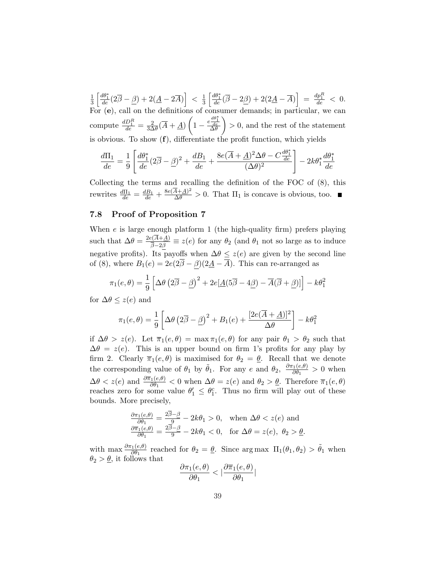1 3  $\int \frac{d\theta_1^*}{de}(2\overline{\beta} - \underline{\beta}) + 2(\underline{A} - 2\overline{A})$ i  $\langle \frac{1}{3}$ 3  $\int \frac{d\theta_1^*}{de} (\overline{\beta} - 2\underline{\beta}) + 2(2\underline{A} - \overline{A})$ i  $= \frac{dp_1^R}{de} < 0.$ For (e), call on the definitions of consumer demands; in particular, we can compute  $\frac{dD_1^R}{de} = \frac{2}{3\Delta}$  $\frac{2}{3\Delta\theta}(\overline{A}+\underline{A})$ µ<br>>  $1-\frac{e\frac{d\theta_1^*}{de}}{\Delta\theta}$ ui.<br>V > 0, and the rest of the statement is obvious. To show (f), differentiate the profit function, which yields

$$
\frac{d\Pi_1}{de} = \frac{1}{9} \left[ \frac{d\theta_1^*}{de} (2\overline{\beta} - \underline{\beta})^2 + \frac{dB_1}{de} + \frac{8e(\overline{A} + \underline{A})^2 \Delta \theta - C\frac{d\theta_1^*}{de}}{(\Delta \theta)^2} \right] - 2k\theta_1^* \frac{d\theta_1^*}{de}
$$

Collecting the terms and recalling the definition of the FOC of (8), this rewrites  $\frac{d\Pi_1}{de} = \frac{dB_1}{de} + \frac{8e(\overline{A}+\underline{A})^2}{\Delta\theta} > 0$ . That  $\Pi_1$  is concave is obvious, too.

## 7.8 Proof of Proposition 7

When  $e$  is large enough platform 1 (the high-quality firm) prefers playing such that  $\Delta\theta = \frac{2e(A+\underline{A})}{\overline{2} \cdot 2\overline{A}}$  $\frac{\partial (A+\underline{A})}{\partial -2\beta} \equiv z(e)$  for any  $\theta_2$  (and  $\theta_1$  not so large as to induce negative profits). Its payoffs when  $\Delta \theta \leq z(e)$  are given by the second line of (8), where  $B_1(e) = 2e(2\overline{\beta} - \beta)(2\underline{A} - \overline{A})$ . This can re-arranged as

$$
\pi_1(e,\theta) = \frac{1}{9} \left[ \Delta\theta \left( 2\overline{\beta} - \underline{\beta} \right)^2 + 2e[\underline{A}(5\overline{\beta} - 4\underline{\beta}) - \overline{A}(\overline{\beta} + \underline{\beta})] \right] - k\theta_1^2
$$

for  $\Delta \theta \leq z(e)$  and

$$
\pi_1(e,\theta) = \frac{1}{9} \left[ \Delta \theta \left( 2\overline{\beta} - \underline{\beta} \right)^2 + B_1(e) + \frac{[2e(\overline{A} + \underline{A})]^2}{\Delta \theta} \right] - k\theta_1^2
$$

if  $\Delta\theta > z(e)$ . Let  $\overline{\pi}_1(e,\theta) = \max \pi_1(e,\theta)$  for any pair  $\theta_1 > \theta_2$  such that  $\Delta\theta = z(e)$ . This is an upper bound on firm 1's profits for any play by firm 2. Clearly  $\overline{\pi}_1(e, \theta)$  is maximised for  $\theta_2 = \underline{\theta}$ . Recall that we denote the corresponding value of  $\theta_1$  by  $\tilde{\theta}_1$ . For any e and  $\theta_2$ ,  $\frac{\partial \pi_1(e,\theta)}{\partial \theta_1}$  $\frac{\partial^2 \Theta}{\partial \theta_1} > 0$  when  $\Delta\theta < z(e)$  and  $\frac{\partial \overline{\pi}_1(e,\theta)}{\partial \theta_1} < 0$  when  $\Delta\theta = z(e)$  and  $\theta_2 > \underline{\theta}$ . Therefore  $\overline{\pi}_1(e,\theta)$ reaches zero for some value  $\theta'_1 \leq \theta_1^c$ . Thus no firm will play out of these bounds. More precisely,

$$
\frac{\partial \pi_1(e,\theta)}{\partial \theta_1} = \frac{2\overline{\beta} - \beta}{9} - 2k\theta_1 > 0, \text{ when } \Delta\theta < z(e) \text{ and}
$$
  

$$
\frac{\partial \pi_1(e,\theta)}{\partial \theta_1} = \frac{2\overline{\beta} - \beta}{9} - 2k\theta_1 < 0, \text{ for } \Delta\theta = z(e), \ \theta_2 > \underline{\theta}.
$$

with max  $\frac{\partial \pi_1(e,\theta)}{\partial \theta_1}$  reached for  $\theta_2 = \underline{\theta}$ . Since arg max  $\Pi_1(\theta_1,\theta_2) > \tilde{\theta}_1$  when  $\theta_2 > \underline{\theta}$ , it follows that

$$
\frac{\partial \pi_1(e,\theta)}{\partial \theta_1} < \big|\frac{\partial \overline{\pi}_1(e,\theta)}{\partial \theta_1}\big|
$$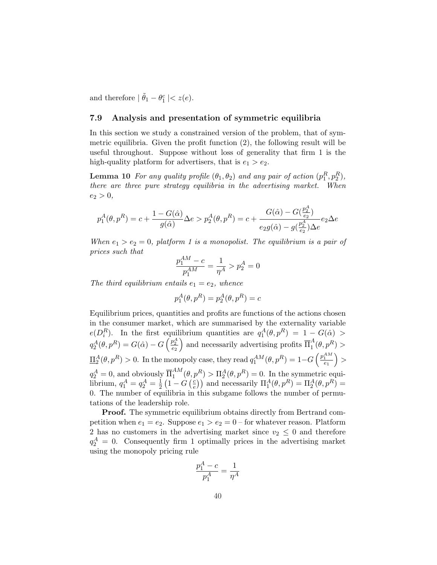and therefore  $|\tilde{\theta}_1 - \theta_1^c| < z(e)$ .

## 7.9 Analysis and presentation of symmetric equilibria

In this section we study a constrained version of the problem, that of symmetric equilibria. Given the profit function (2), the following result will be useful throughout. Suppose without loss of generality that firm 1 is the high-quality platform for advertisers, that is  $e_1 > e_2$ .

**Lemma 10** For any quality profile  $(\theta_1, \theta_2)$  and any pair of action  $(p_1^R, p_2^R)$ , there are three pure strategy equilibria in the advertising market. When  $e_2 > 0,$ 

$$
p^A_1(\theta,p^R)=c+\frac{1-G(\hat\alpha)}{g(\hat\alpha)}\Delta e>p^A_2(\theta,p^R)=c+\frac{G(\hat\alpha)-G(\frac{p_2^A}{e_2})}{e_2g(\hat\alpha)-g(\frac{p_2^A}{e_2})\Delta e}e_2\Delta e
$$

When  $e_1 > e_2 = 0$ , platform 1 is a monopolist. The equilibrium is a pair of prices such that

$$
\frac{p_1^{AM}-c}{p_1^{AM}}=\frac{1}{\eta^A}>p_2^A=0
$$

The third equilibrium entails  $e_1 = e_2$ , whence

$$
p_1^A(\theta, p^R) = p_2^A(\theta, p^R) = c
$$

Equilibrium prices, quantities and profits are functions of the actions chosen in the consumer market, which are summarised by the externality variable  $e(D_i^R)$ . In the first equilibrium quantities are  $q_1^A(\theta, p^R) = 1 - G(\hat{\alpha}) >$  $q_2^A(\theta, p^R) = G(\hat{\alpha}) - G\left(\frac{p_2^A}{e_2}\right)$  and necessarily advertising profits  $\overline{\Pi}_1^A$  $l_1^A(\theta, p^R) >$  $\underline{\Pi}_2^A(\theta,p^R)>0.$  In the monopoly case, they read  $q_1^{AM}(\theta,p^R)=1-G\left(\frac{p_1^{AM}}{e_1}\right)>0$  $\left( \begin{array}{cc} \circ & \circ & \circ \\ \circ & \circ & \circ \end{array} \right)$  $q_2^A=0$ , and obviously  $\overline{\Pi}_1^{AM}$  $I_1^{AM}(\theta, p^R) > \Pi_2^A(\theta, p^R) = 0$ . In the symmetric equilibrium,  $q_1^A = q_2^A = \frac{1}{2}$  $\overline{2}$ ¡  $1-G$  $\frac{r}{c}$  $(p^2) > H_2(\sigma, p^2) = 0$ . In the symmetric equi-<br>  $\begin{pmatrix} \frac{c}{c} \end{pmatrix}$  and necessarily  $\Pi_1^A(\theta, p^R) = \Pi_2^A(\theta, p^R) =$ 0. The number of equilibria in this subgame follows the number of permutations of the leadership role.

**Proof.** The symmetric equilibrium obtains directly from Bertrand competition when  $e_1 = e_2$ . Suppose  $e_1 > e_2 = 0$  – for whatever reason. Platform 2 has no customers in the advertising market since  $v_2 \leq 0$  and therefore  $q_2^A = 0$ . Consequently firm 1 optimally prices in the advertising market using the monopoly pricing rule

$$
\frac{p_1^A - c}{p_1^A} = \frac{1}{\eta^A}
$$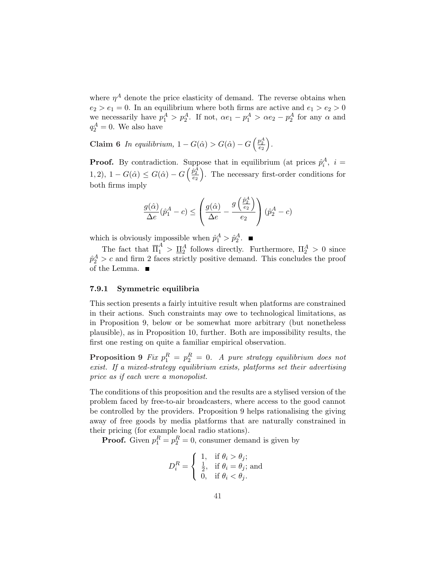where  $\eta^A$  denote the price elasticity of demand. The reverse obtains when  $e_2 > e_1 = 0$ . In an equilibrium where both firms are active and  $e_1 > e_2 > 0$ we necessarily have  $p_1^A > p_2^A$ . If not,  $\alpha e_1 - p_1^A > \alpha e_2 - p_2^A$  for any  $\alpha$  and  $q_2^A = 0$ . We also have

Claim 6 In equilibrium,  $1 - G(\hat{\alpha}) > G(\hat{\alpha}) - G$  $\left(\frac{p_2^A}{e_2}\right)$ ´ .

**Proof.** By contradiction. Suppose that in equilibrium (at prices  $\hat{p}_i^A$ ,  $i =$ 1, 2),  $1-G(\hat{\alpha}) \leq G(\hat{\alpha}) - G\left(\frac{\hat{p}_2^A}{e_2}\right)$ . The necessary first-order conditions for both firms imply

$$
\frac{g(\hat{\alpha})}{\Delta e}(\hat{p}_1^A - c) \leq \left(\frac{g(\hat{\alpha})}{\Delta e} - \frac{g\left(\frac{\hat{p}_2^A}{e_2}\right)}{e_2}\right)(\hat{p}_2^A - c)
$$

which is obviously impossible when  $\hat{p}_1^A > \hat{p}_2^A$ .

The fact that  $\overline{\Pi}_1^A > \underline{\Pi}_2^A$  follows directly. Furthermore,  $\Pi_2^A > 0$  since  $\hat{p}_2^A > c$  and firm 2 faces strictly positive demand. This concludes the proof of the Lemma.

## 7.9.1 Symmetric equilibria

This section presents a fairly intuitive result when platforms are constrained in their actions. Such constraints may owe to technological limitations, as in Proposition 9, below or be somewhat more arbitrary (but nonetheless plausible), as in Proposition 10, further. Both are impossibility results, the first one resting on quite a familiar empirical observation.

**Proposition 9** Fix  $p_1^R = p_2^R = 0$ . A pure strategy equilibrium does not exist. If a mixed-strategy equilibrium exists, platforms set their advertising price as if each were a monopolist.

The conditions of this proposition and the results are a stylised version of the problem faced by free-to-air broadcasters, where access to the good cannot be controlled by the providers. Proposition 9 helps rationalising the giving away of free goods by media platforms that are naturally constrained in their pricing (for example local radio stations).

**Proof.** Given  $p_1^R = p_2^R = 0$ , consumer demand is given by

$$
D_i^R = \begin{cases} 1, & \text{if } \theta_i > \theta_j; \\ \frac{1}{2}, & \text{if } \theta_i = \theta_j; \text{ and} \\ 0, & \text{if } \theta_i < \theta_j. \end{cases}
$$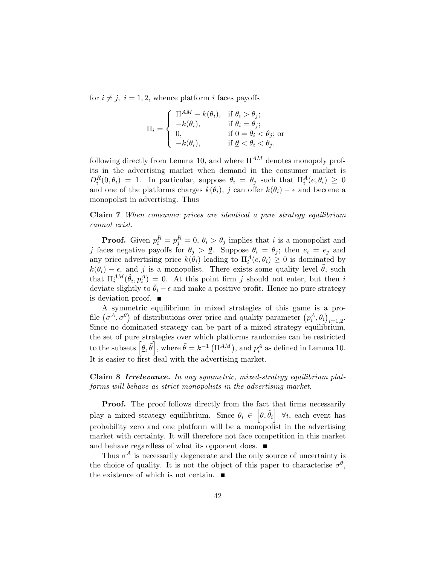for  $i \neq j$ ,  $i = 1, 2$ , whence platform i faces payoffs

$$
\Pi_i = \begin{cases}\n\Pi^{AM} - k(\theta_i), & \text{if } \theta_i > \theta_j; \\
-k(\theta_i), & \text{if } \theta_i = \theta_j; \\
0, & \text{if } 0 = \theta_i < \theta_j; \\
-k(\theta_i), & \text{if } \underline{\theta} < \theta_i < \theta_j.\n\end{cases}
$$

following directly from Lemma 10, and where  $\Pi^{AM}$  denotes monopoly profits in the advertising market when demand in the consumer market is  $D_i^R(0, \theta_i) = 1$ . In particular, suppose  $\theta_i = \theta_j$  such that  $\Pi_i^A(e, \theta_i) \geq 0$ and one of the platforms charges  $k(\theta_i)$ , j can offer  $k(\theta_i) - \epsilon$  and become a monopolist in advertising. Thus

Claim 7 When consumer prices are identical a pure strategy equilibrium cannot exist.

**Proof.** Given  $p_i^R = p_j^R = 0$ ,  $\theta_i > \theta_j$  implies that i is a monopolist and j faces negative payoffs for  $\theta_j > \underline{\theta}$ . Suppose  $\theta_i = \theta_j$ ; then  $e_i = e_j$  and any price advertising price  $k(\theta_i)$  leading to  $\Pi_i^A(e, \theta_i) \geq 0$  is dominated by  $k(\theta_i) - \epsilon$ , and j is a monopolist. There exists some quality level  $\tilde{\theta}$ , such that  $\Pi_i^{AM}(\tilde{\theta}_i, p_i^A) = 0$ . At this point firm j should not enter, but then i deviate slightly to  $\hat{\theta}_i - \epsilon$  and make a positive profit. Hence no pure strategy is deviation proof.  $\blacksquare$ 

A symmetric equilibrium in mixed strategies of this game is a pro-A symmetric equinorium in mixed strategies of this game is a pro-<br>file  $(\sigma^A, \sigma^{\theta})$  of distributions over price and quality parameter  $(p_i^A, \theta_i)_{i=1,2}$ . Since no dominated strategy can be part of a mixed strategy equilibrium, the set of pure strategies over which platforms randomise can be restricted the set of pure strategies over which platforms randomise can be restricted<br>to the subsets  $\left[\underline{\theta}, \tilde{\theta}\right]$ , where  $\tilde{\theta} = k^{-1} (\Pi^{AM})$ , and  $p_i^A$  as defined in Lemma 10. It is easier to first deal with the advertising market.

Claim 8 Irrelevance. In any symmetric, mixed-strategy equilibrium platforms will behave as strict monopolists in the advertising market.

**Proof.** The proof follows directly from the fact that firms necessarily play a mixed strategy equilibrium. Since  $\theta_i \in [\underline{\theta}, \tilde{\theta}_i]$   $\forall i$ , each event has probability zero and one platform will be a monopolist in the advertising market with certainty. It will therefore not face competition in this market and behave regardless of what its opponent does.  $\blacksquare$ 

Thus  $\sigma^A$  is necessarily degenerate and the only source of uncertainty is the choice of quality. It is not the object of this paper to characterise  $\sigma^{\theta}$ , the existence of which is not certain.  $\blacksquare$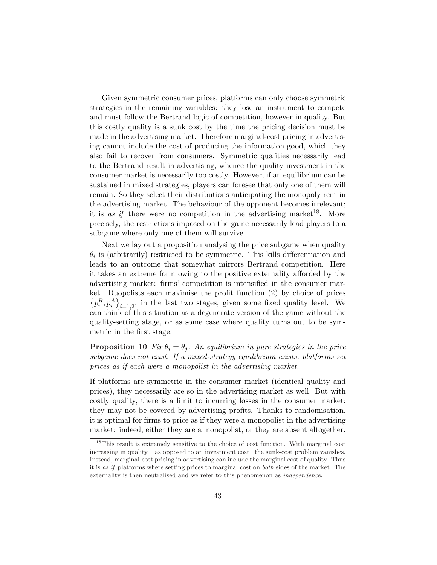Given symmetric consumer prices, platforms can only choose symmetric strategies in the remaining variables: they lose an instrument to compete and must follow the Bertrand logic of competition, however in quality. But this costly quality is a sunk cost by the time the pricing decision must be made in the advertising market. Therefore marginal-cost pricing in advertising cannot include the cost of producing the information good, which they also fail to recover from consumers. Symmetric qualities necessarily lead to the Bertrand result in advertising, whence the quality investment in the consumer market is necessarily too costly. However, if an equilibrium can be sustained in mixed strategies, players can foresee that only one of them will remain. So they select their distributions anticipating the monopoly rent in the advertising market. The behaviour of the opponent becomes irrelevant; it is as if there were no competition in the advertising market  $18$ . More precisely, the restrictions imposed on the game necessarily lead players to a subgame where only one of them will survive.

Next we lay out a proposition analysing the price subgame when quality  $\theta_i$  is (arbitrarily) restricted to be symmetric. This kills differentiation and leads to an outcome that somewhat mirrors Bertrand competition. Here it takes an extreme form owing to the positive externality afforded by the advertising market: firms' competition is intensified in the consumer market. Duopolists each maximise the profit function  $(2)$  by choice of prices  $p_i^R, p_i^A\}_{i=1,2}$ , in the last two stages, given some fixed quality level. We can think of this situation as a degenerate version of the game without the quality-setting stage, or as some case where quality turns out to be symmetric in the first stage.

**Proposition 10** Fix  $\theta_i = \theta_j$ . An equilibrium in pure strategies in the price subgame does not exist. If a mixed-strategy equilibrium exists, platforms set prices as if each were a monopolist in the advertising market.

If platforms are symmetric in the consumer market (identical quality and prices), they necessarily are so in the advertising market as well. But with costly quality, there is a limit to incurring losses in the consumer market: they may not be covered by advertising profits. Thanks to randomisation, it is optimal for firms to price as if they were a monopolist in the advertising market: indeed, either they are a monopolist, or they are absent altogether.

<sup>&</sup>lt;sup>18</sup>This result is extremely sensitive to the choice of cost function. With marginal cost increasing in quality – as opposed to an investment cost– the sunk-cost problem vanishes. Instead, marginal-cost pricing in advertising can include the marginal cost of quality. Thus it is as if platforms where setting prices to marginal cost on both sides of the market. The externality is then neutralised and we refer to this phenomenon as independence.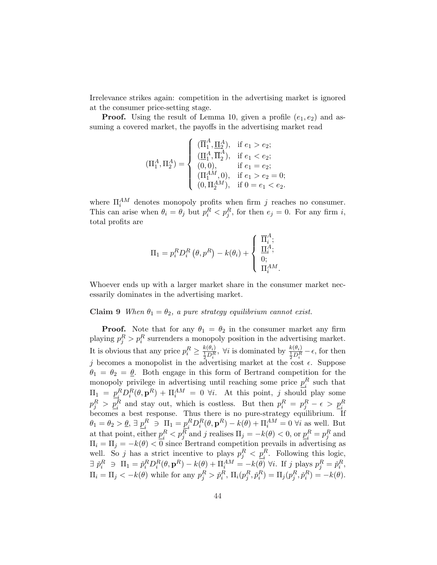Irrelevance strikes again: competition in the advertising market is ignored at the consumer price-setting stage.

**Proof.** Using the result of Lemma 10, given a profile  $(e_1, e_2)$  and assuming a covered market, the payoffs in the advertising market read

$$
(\Pi_1^A, \Pi_2^A) = \left\{ \begin{array}{ll} (\overline{\Pi}_1^A, \underline{\Pi}_2^A), & \text{if } e_1 > e_2; \\ (\underline{\Pi}_1^A, \overline{\Pi}_2^A), & \text{if } e_1 < e_2; \\ (0,0), & \text{if } e_1 = e_2; \\ (\Pi_1^{AM}, 0), & \text{if } e_1 > e_2 = 0; \\ (0, \Pi_2^{AM}), & \text{if } 0 = e_1 < e_2. \end{array} \right.
$$

where  $\Pi_i^{AM}$  denotes monopoly profits when firm j reaches no consumer. This can arise when  $\theta_i = \theta_j$  but  $p_i^R < p_j^R$ , for then  $e_j = 0$ . For any firm i, total profits are

$$
\Pi_1 = p_i^R D_i^R (\theta, p^R) - k(\theta_i) + \begin{cases} \overline{\Pi}_i^A; \\ \underline{\Pi}_i^A; \\ 0; \\ \Pi_i^{AM}. \end{cases}
$$

Whoever ends up with a larger market share in the consumer market necessarily dominates in the advertising market.

## Claim 9 When  $\theta_1 = \theta_2$ , a pure strategy equilibrium cannot exist.

**Proof.** Note that for any  $\theta_1 = \theta_2$  in the consumer market any firm playing  $p_j^R > p_i^R$  surrenders a monopoly position in the advertising market. It is obvious that any price  $p_i^R \ge \frac{k(\theta_i)}{\frac{1}{2}D_i^R}$ ,  $\forall i$  is dominated by  $\frac{k(\theta_i)}{\frac{1}{2}D_i^R} - \epsilon$ , for then j becomes a monopolist in the advertising market at the cost  $\epsilon$ . Suppose  $\theta_1 = \theta_2 = \underline{\theta}$ . Both engage in this form of Bertrand competition for the monopoly privilege in advertising until reaching some price  $p_i^R$  such that i  $\Pi_1 = p_i^R$  ${}_{i}^{R}D_{i}^{R}(\theta,\mathbf{p}^{R}) + \Pi_{i}^{AM} = 0$   $\forall i$ . At this point, j should play some  $p_j^R > p_i^R$  and stay out, which is costless. But then  $p_i^R = p_j^R - \epsilon > p_i^R$  becomes a best response. Thus there is no pure-strategy equilibrium. If  $\theta_1 = \theta_2 > \underline{\theta}, \exists p_i^R$  $\begin{array}{c} R \\ i \end{array} \ni \ \Pi_1 = \underline{p}_i^R$  ${}_{i}^{R}D_{i}^{R}(\theta, \mathbf{p}^{R}) - k(\theta) + \Pi_{i}^{AM} = 0 \ \forall i$  as well. But at that point, either  $p_i^R$  $i<sub>i</sub><sup>R</sup> < p<sub>j</sub><sup>R</sup>$  and j realises  $\Pi_j = -k(\theta) < 0$ , or  $\underline{p<sub>i</sub><sup>R</sup>}$  $i_R^R = p_j^R$  and  $\Pi_i = \Pi_j = -k(\theta) < 0$  since Bertrand competition prevails in advertising as well. So j has a strict incentive to plays  $p_j^R < p_i^R$ . Following this logic, i  $\exists \tilde{p}_i^R \ni \Pi_1 = \tilde{p}_i^R D_i^R(\theta, \mathbf{p}^R) - k(\theta) + \Pi_i^{AM} = -k(\theta) \,\forall i.$  If j plays  $p_j^R = \tilde{p}_i^R$ ,  $\Pi_i = \Pi_j < -k(\theta)$  while for any  $p_j^R > \check{p}_i^R$ ,  $\Pi_i(p_j^R, \check{p}_i^R) = \Pi_j(p_j^R, \check{p}_i^R) = -k(\theta)$ .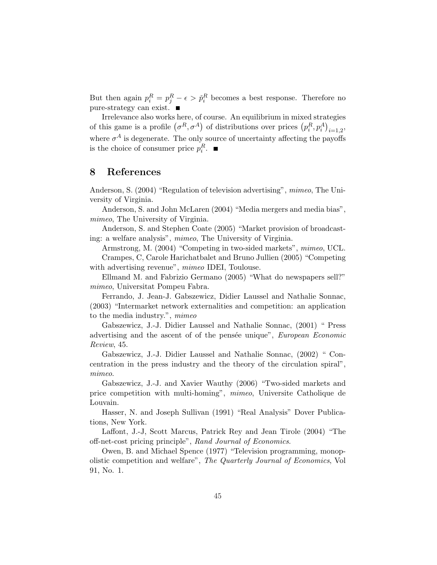But then again  $p_i^R = p_j^R - \epsilon > \tilde{p}_i^R$  becomes a best response. Therefore no pure-strategy can exist.  $\blacksquare$ 

Irrelevance also works here, of course. An equilibrium in mixed strategies Irrelevance also works here, or course. An equilibrium in mixed stra-<br>of this game is a profile  $(\sigma^R, \sigma^A)$  of distributions over prices  $(p_i^R, p_i^A)$ ιτ<br>、  $_{i=1,2}$ where  $\sigma^A$  is degenerate. The only source of uncertainty affecting the payoffs is the choice of consumer price  $p_i^R$ .

# 8 References

Anderson, S. (2004) "Regulation of television advertising", mimeo, The University of Virginia.

Anderson, S. and John McLaren (2004) "Media mergers and media bias", mimeo, The University of Virginia.

Anderson, S. and Stephen Coate (2005) "Market provision of broadcasting: a welfare analysis", mimeo, The University of Virginia.

Armstrong, M. (2004) "Competing in two-sided markets", mimeo, UCL.

Crampes, C, Carole Harichatbalet and Bruno Jullien (2005) "Competing with advertising revenue", *mimeo* IDEI, Toulouse.

Ellmand M. and Fabrizio Germano (2005) "What do newspapers sell?" mimeo, Universitat Pompeu Fabra.

Ferrando, J. Jean-J. Gabszewicz, Didier Laussel and Nathalie Sonnac, (2003) "Intermarket network externalities and competition: an application to the media industry.", mimeo

Gabszewicz, J.-J. Didier Laussel and Nathalie Sonnac, (2001) " Press advertising and the ascent of of the pensete unique", European Economic Review, 45.

Gabszewicz, J.-J. Didier Laussel and Nathalie Sonnac, (2002) " Concentration in the press industry and the theory of the circulation spiral", mimeo.

Gabszewicz, J.-J. and Xavier Wauthy (2006) "Two-sided markets and price competition with multi-homing", mimeo, Universite Catholique de Louvain.

Hasser, N. and Joseph Sullivan (1991) "Real Analysis" Dover Publications, New York.

Laffont, J.-J, Scott Marcus, Patrick Rey and Jean Tirole (2004) "The off-net-cost pricing principle", Rand Journal of Economics.

Owen, B. and Michael Spence (1977) "Television programming, monopolistic competition and welfare", The Quarterly Journal of Economics, Vol 91, No. 1.